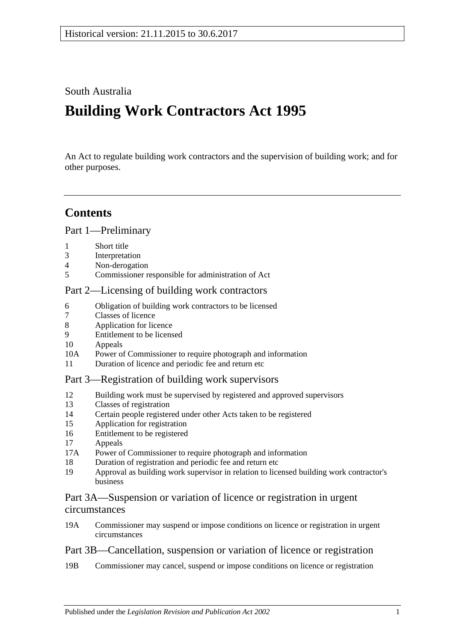# South Australia

# **Building Work Contractors Act 1995**

An Act to regulate building work contractors and the supervision of building work; and for other purposes.

# **Contents**

[Part 1—Preliminary](#page-2-0)

- 1 [Short title](#page-2-1)
- 3 [Interpretation](#page-2-2)
- 4 [Non-derogation](#page-4-0)
- 5 [Commissioner responsible for administration of Act](#page-4-1)

# [Part 2—Licensing of building work contractors](#page-4-2)

- 6 [Obligation of building work contractors to be licensed](#page-4-3)
- 7 [Classes of licence](#page-5-0)
- 8 [Application for licence](#page-5-1)
- 9 [Entitlement to be licensed](#page-6-0)
- 10 [Appeals](#page-8-0)
- 10A [Power of Commissioner to require photograph and information](#page-8-1)
- 11 [Duration of licence and periodic fee and return etc](#page-9-0)

# [Part 3—Registration of building work supervisors](#page-9-1)

- 12 [Building work must be supervised by registered and approved supervisors](#page-9-2)
- 13 [Classes of registration](#page-10-0)
- 14 [Certain people registered under other Acts taken to be registered](#page-10-1)
- 15 [Application for registration](#page-11-0)
- 16 [Entitlement to be registered](#page-11-1)
- 17 [Appeals](#page-11-2)
- 17A [Power of Commissioner to require photograph and information](#page-12-0)
- 18 [Duration of registration and periodic fee and return etc](#page-12-1)
- 19 [Approval as building work supervisor in relation to licensed building work contractor's](#page-13-0)  [business](#page-13-0)

# [Part 3A—Suspension or variation of licence or registration in urgent](#page-14-0)  [circumstances](#page-14-0)

19A [Commissioner may suspend or impose conditions on licence or registration in urgent](#page-14-1)  [circumstances](#page-14-1)

# [Part 3B—Cancellation, suspension or variation of licence or registration](#page-15-0)

19B [Commissioner may cancel, suspend or impose conditions on licence or registration](#page-15-1)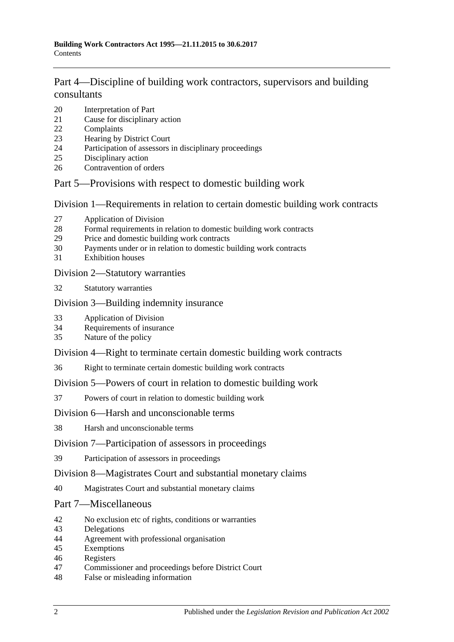# [Part 4—Discipline of building work contractors, supervisors and building](#page-16-0)  [consultants](#page-16-0)

- [Interpretation of Part](#page-16-1)
- [Cause for disciplinary action](#page-16-2)
- [Complaints](#page-17-0)
- [Hearing by District Court](#page-17-1)
- [Participation of assessors in disciplinary proceedings](#page-17-2)
- [Disciplinary action](#page-18-0)
- [Contravention of orders](#page-19-0)

# [Part 5—Provisions with respect to domestic building work](#page-19-1)

[Division 1—Requirements in relation to certain domestic building work contracts](#page-19-2)

- [Application of Division](#page-19-3)
- [Formal requirements in relation to domestic building work contracts](#page-19-4)
- [Price and domestic building work contracts](#page-20-0)
- [Payments under or in relation to domestic building work contracts](#page-22-0)
- [Exhibition houses](#page-22-1)

## [Division 2—Statutory warranties](#page-23-0)

[Statutory warranties](#page-23-1)

# [Division 3—Building indemnity insurance](#page-24-0)

- [Application of Division](#page-24-1)
- [Requirements of insurance](#page-24-2)
- [Nature of the policy](#page-25-0)

# [Division 4—Right to terminate certain domestic building work contracts](#page-25-1)

[Right to terminate certain domestic building work contracts](#page-25-2)

# [Division 5—Powers of court in relation to domestic building work](#page-26-0)

[Powers of court in relation to domestic building work](#page-26-1)

# [Division 6—Harsh and unconscionable terms](#page-27-0)

[Harsh and unconscionable terms](#page-27-1)

# [Division 7—Participation of assessors in proceedings](#page-28-0)

[Participation of assessors in proceedings](#page-28-1)

# [Division 8—Magistrates Court and substantial monetary claims](#page-28-2)

[Magistrates Court and substantial monetary claims](#page-28-3)

# [Part 7—Miscellaneous](#page-28-4)

- [No exclusion etc of rights, conditions or warranties](#page-28-5)
- [Delegations](#page-28-6)
- [Agreement with professional organisation](#page-29-0)
- [Exemptions](#page-30-0)
- [Registers](#page-30-1)
- [Commissioner and proceedings before District Court](#page-30-2)
- [False or misleading information](#page-31-0)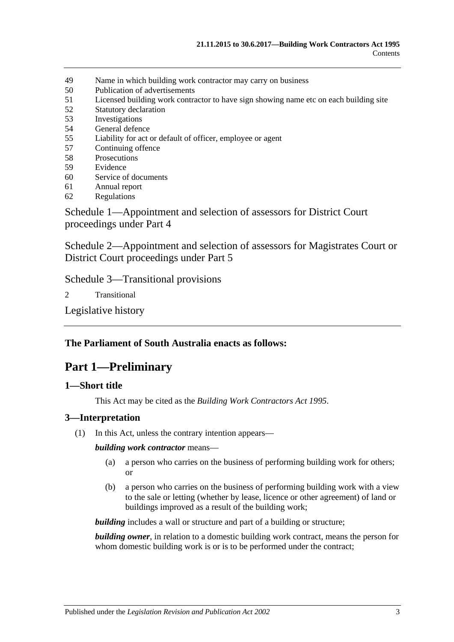- 49 [Name in which building work contractor may carry on business](#page-31-1)
- 50 [Publication of advertisements](#page-31-2)
- 51 [Licensed building work contractor to have sign showing name etc on each building site](#page-31-3)
- 52 [Statutory declaration](#page-32-0)
- 53 [Investigations](#page-32-1)
- 54 [General defence](#page-32-2)
- 55 [Liability for act or default of officer, employee or agent](#page-32-3)
- 57 [Continuing offence](#page-32-4)
- 58 [Prosecutions](#page-33-0)
- 59 [Evidence](#page-33-1)
- 60 [Service of documents](#page-34-0)
- 61 [Annual report](#page-34-1)
- 62 [Regulations](#page-34-2)

[Schedule 1—Appointment and selection of assessors for District Court](#page-35-0)  [proceedings under Part 4](#page-35-0)

[Schedule 2—Appointment and selection of assessors for Magistrates Court or](#page-36-0)  [District Court proceedings under Part](#page-36-0) 5

[Schedule 3—Transitional provisions](#page-36-1)

2 [Transitional](#page-36-2)

[Legislative history](#page-38-0)

# <span id="page-2-0"></span>**The Parliament of South Australia enacts as follows:**

# **Part 1—Preliminary**

### <span id="page-2-1"></span>**1—Short title**

This Act may be cited as the *Building Work Contractors Act 1995*.

# <span id="page-2-2"></span>**3—Interpretation**

(1) In this Act, unless the contrary intention appears—

*building work contractor* means—

- (a) a person who carries on the business of performing building work for others; or
- (b) a person who carries on the business of performing building work with a view to the sale or letting (whether by lease, licence or other agreement) of land or buildings improved as a result of the building work;

*building* includes a wall or structure and part of a building or structure;

*building owner*, in relation to a domestic building work contract, means the person for whom domestic building work is or is to be performed under the contract;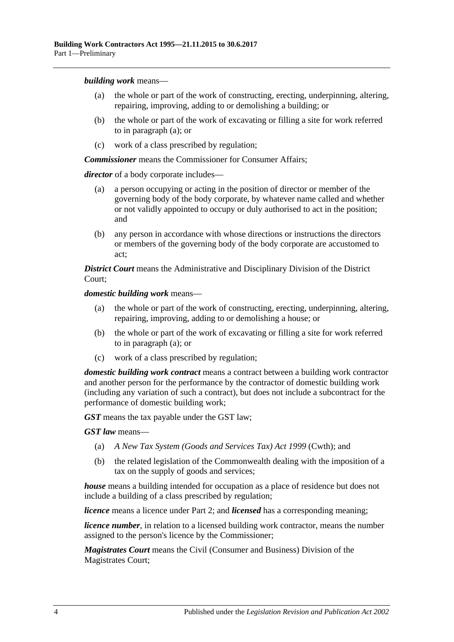<span id="page-3-0"></span>*building work* means—

- (a) the whole or part of the work of constructing, erecting, underpinning, altering, repairing, improving, adding to or demolishing a building; or
- (b) the whole or part of the work of excavating or filling a site for work referred to in [paragraph](#page-3-0) (a); or
- (c) work of a class prescribed by regulation;

*Commissioner* means the Commissioner for Consumer Affairs;

*director* of a body corporate includes—

- (a) a person occupying or acting in the position of director or member of the governing body of the body corporate, by whatever name called and whether or not validly appointed to occupy or duly authorised to act in the position; and
- (b) any person in accordance with whose directions or instructions the directors or members of the governing body of the body corporate are accustomed to act;

*District Court* means the Administrative and Disciplinary Division of the District Court;

<span id="page-3-1"></span>*domestic building work* means—

- (a) the whole or part of the work of constructing, erecting, underpinning, altering, repairing, improving, adding to or demolishing a house; or
- (b) the whole or part of the work of excavating or filling a site for work referred to in [paragraph](#page-3-1) (a); or
- (c) work of a class prescribed by regulation;

*domestic building work contract* means a contract between a building work contractor and another person for the performance by the contractor of domestic building work (including any variation of such a contract), but does not include a subcontract for the performance of domestic building work;

*GST* means the tax payable under the GST law;

*GST law* means—

- (a) *A New Tax System (Goods and Services Tax) Act 1999* (Cwth); and
- (b) the related legislation of the Commonwealth dealing with the imposition of a tax on the supply of goods and services;

*house* means a building intended for occupation as a place of residence but does not include a building of a class prescribed by regulation;

*licence* means a licence under [Part 2;](#page-4-2) and *licensed* has a corresponding meaning;

*licence number*, in relation to a licensed building work contractor, means the number assigned to the person's licence by the Commissioner;

*Magistrates Court* means the Civil (Consumer and Business) Division of the Magistrates Court;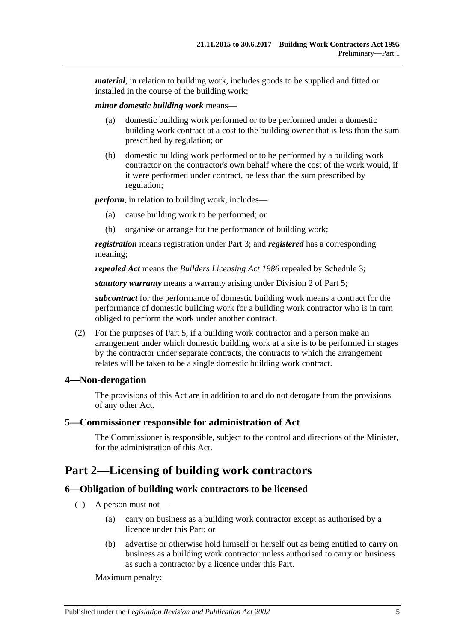*material*, in relation to building work, includes goods to be supplied and fitted or installed in the course of the building work;

*minor domestic building work* means—

- (a) domestic building work performed or to be performed under a domestic building work contract at a cost to the building owner that is less than the sum prescribed by regulation; or
- (b) domestic building work performed or to be performed by a building work contractor on the contractor's own behalf where the cost of the work would, if it were performed under contract, be less than the sum prescribed by regulation;

*perform*, in relation to building work, includes—

- (a) cause building work to be performed; or
- (b) organise or arrange for the performance of building work;

*registration* means registration under [Part 3;](#page-9-1) and *registered* has a corresponding meaning;

*repealed Act* means the *[Builders Licensing Act](http://www.legislation.sa.gov.au/index.aspx?action=legref&type=act&legtitle=Builders%20Licensing%20Act%201986) 1986* repealed by [Schedule 3;](#page-36-1)

*statutory warranty* means a warranty arising under [Division 2](#page-23-0) of [Part 5;](#page-19-1)

*subcontract* for the performance of domestic building work means a contract for the performance of domestic building work for a building work contractor who is in turn obliged to perform the work under another contract.

(2) For the purposes of [Part 5,](#page-19-1) if a building work contractor and a person make an arrangement under which domestic building work at a site is to be performed in stages by the contractor under separate contracts, the contracts to which the arrangement relates will be taken to be a single domestic building work contract.

# <span id="page-4-0"></span>**4—Non-derogation**

The provisions of this Act are in addition to and do not derogate from the provisions of any other Act.

### <span id="page-4-1"></span>**5—Commissioner responsible for administration of Act**

The Commissioner is responsible, subject to the control and directions of the Minister, for the administration of this Act.

# <span id="page-4-2"></span>**Part 2—Licensing of building work contractors**

# <span id="page-4-3"></span>**6—Obligation of building work contractors to be licensed**

- (1) A person must not—
	- (a) carry on business as a building work contractor except as authorised by a licence under this Part; or
	- (b) advertise or otherwise hold himself or herself out as being entitled to carry on business as a building work contractor unless authorised to carry on business as such a contractor by a licence under this Part.

Maximum penalty: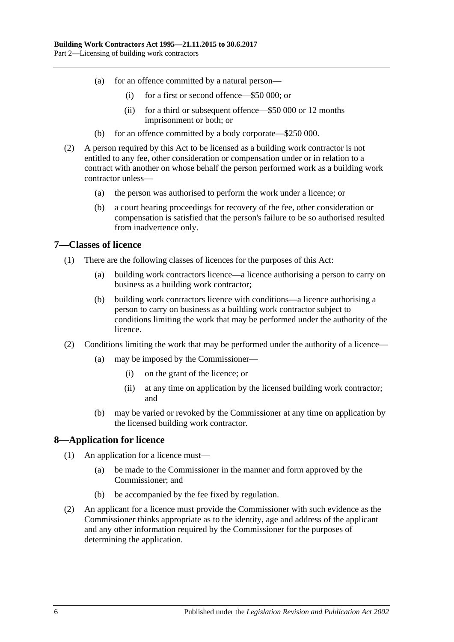- (a) for an offence committed by a natural person—
	- (i) for a first or second offence—\$50 000; or
	- (ii) for a third or subsequent offence—\$50 000 or 12 months imprisonment or both; or
- (b) for an offence committed by a body corporate—\$250 000.
- (2) A person required by this Act to be licensed as a building work contractor is not entitled to any fee, other consideration or compensation under or in relation to a contract with another on whose behalf the person performed work as a building work contractor unless—
	- (a) the person was authorised to perform the work under a licence; or
	- (b) a court hearing proceedings for recovery of the fee, other consideration or compensation is satisfied that the person's failure to be so authorised resulted from inadvertence only.

## <span id="page-5-0"></span>**7—Classes of licence**

- (1) There are the following classes of licences for the purposes of this Act:
	- (a) building work contractors licence—a licence authorising a person to carry on business as a building work contractor;
	- (b) building work contractors licence with conditions—a licence authorising a person to carry on business as a building work contractor subject to conditions limiting the work that may be performed under the authority of the licence.
- (2) Conditions limiting the work that may be performed under the authority of a licence—
	- (a) may be imposed by the Commissioner—
		- (i) on the grant of the licence; or
		- (ii) at any time on application by the licensed building work contractor; and
	- (b) may be varied or revoked by the Commissioner at any time on application by the licensed building work contractor.

# <span id="page-5-1"></span>**8—Application for licence**

- (1) An application for a licence must—
	- (a) be made to the Commissioner in the manner and form approved by the Commissioner; and
	- (b) be accompanied by the fee fixed by regulation.
- (2) An applicant for a licence must provide the Commissioner with such evidence as the Commissioner thinks appropriate as to the identity, age and address of the applicant and any other information required by the Commissioner for the purposes of determining the application.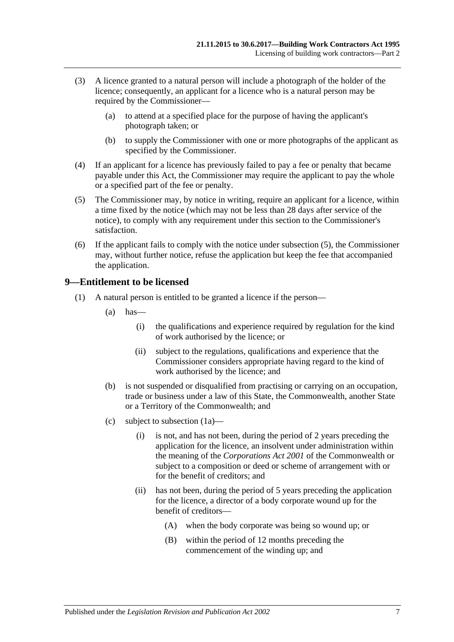- (3) A licence granted to a natural person will include a photograph of the holder of the licence; consequently, an applicant for a licence who is a natural person may be required by the Commissioner—
	- (a) to attend at a specified place for the purpose of having the applicant's photograph taken; or
	- (b) to supply the Commissioner with one or more photographs of the applicant as specified by the Commissioner.
- (4) If an applicant for a licence has previously failed to pay a fee or penalty that became payable under this Act, the Commissioner may require the applicant to pay the whole or a specified part of the fee or penalty.
- <span id="page-6-1"></span>(5) The Commissioner may, by notice in writing, require an applicant for a licence, within a time fixed by the notice (which may not be less than 28 days after service of the notice), to comply with any requirement under this section to the Commissioner's satisfaction.
- (6) If the applicant fails to comply with the notice under [subsection](#page-6-1) (5), the Commissioner may, without further notice, refuse the application but keep the fee that accompanied the application.

## <span id="page-6-0"></span>**9—Entitlement to be licensed**

- <span id="page-6-2"></span>(1) A natural person is entitled to be granted a licence if the person—
	- $(a)$  has—
		- (i) the qualifications and experience required by regulation for the kind of work authorised by the licence; or
		- (ii) subject to the regulations, qualifications and experience that the Commissioner considers appropriate having regard to the kind of work authorised by the licence; and
	- (b) is not suspended or disqualified from practising or carrying on an occupation, trade or business under a law of this State, the Commonwealth, another State or a Territory of the Commonwealth; and
	- (c) subject to [subsection](#page-7-0) (1a)—
		- (i) is not, and has not been, during the period of 2 years preceding the application for the licence, an insolvent under administration within the meaning of the *Corporations Act 2001* of the Commonwealth or subject to a composition or deed or scheme of arrangement with or for the benefit of creditors; and
		- (ii) has not been, during the period of 5 years preceding the application for the licence, a director of a body corporate wound up for the benefit of creditors—
			- (A) when the body corporate was being so wound up; or
			- (B) within the period of 12 months preceding the commencement of the winding up; and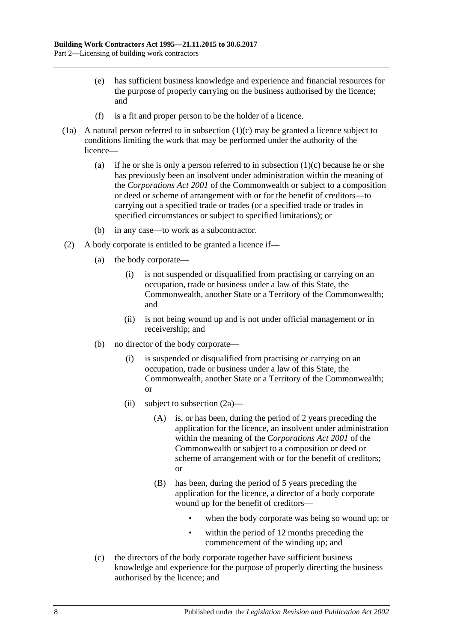- (e) has sufficient business knowledge and experience and financial resources for the purpose of properly carrying on the business authorised by the licence; and
- (f) is a fit and proper person to be the holder of a licence.
- <span id="page-7-0"></span>(1a) A natural person referred to in [subsection](#page-6-2)  $(1)(c)$  may be granted a licence subject to conditions limiting the work that may be performed under the authority of the licence
	- (a) if he or she is only a person referred to in [subsection](#page-6-2)  $(1)(c)$  because he or she has previously been an insolvent under administration within the meaning of the *Corporations Act 2001* of the Commonwealth or subject to a composition or deed or scheme of arrangement with or for the benefit of creditors—to carrying out a specified trade or trades (or a specified trade or trades in specified circumstances or subject to specified limitations); or
	- (b) in any case—to work as a subcontractor.
- <span id="page-7-1"></span>(2) A body corporate is entitled to be granted a licence if—
	- (a) the body corporate—
		- (i) is not suspended or disqualified from practising or carrying on an occupation, trade or business under a law of this State, the Commonwealth, another State or a Territory of the Commonwealth; and
		- (ii) is not being wound up and is not under official management or in receivership; and
	- (b) no director of the body corporate—
		- (i) is suspended or disqualified from practising or carrying on an occupation, trade or business under a law of this State, the Commonwealth, another State or a Territory of the Commonwealth; or
		- (ii) subject to [subsection](#page-8-2) (2a)—
			- (A) is, or has been, during the period of 2 years preceding the application for the licence, an insolvent under administration within the meaning of the *Corporations Act 2001* of the Commonwealth or subject to a composition or deed or scheme of arrangement with or for the benefit of creditors; or
			- (B) has been, during the period of 5 years preceding the application for the licence, a director of a body corporate wound up for the benefit of creditors
				- when the body corporate was being so wound up; or
				- within the period of 12 months preceding the commencement of the winding up; and
	- (c) the directors of the body corporate together have sufficient business knowledge and experience for the purpose of properly directing the business authorised by the licence; and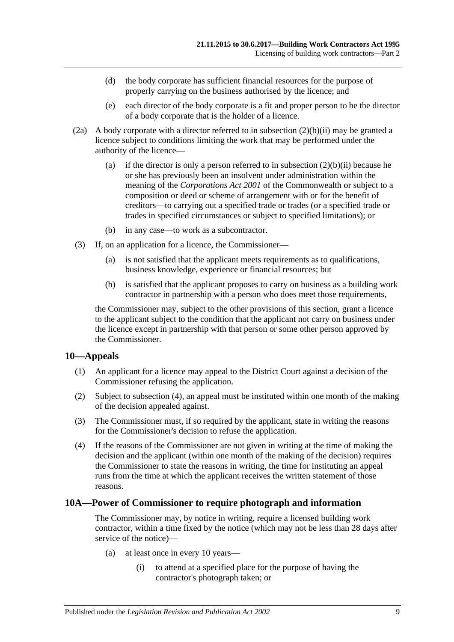- (d) the body corporate has sufficient financial resources for the purpose of properly carrying on the business authorised by the licence; and
- (e) each director of the body corporate is a fit and proper person to be the director of a body corporate that is the holder of a licence.
- <span id="page-8-2"></span>(2a) A body corporate with a director referred to in [subsection](#page-7-1)  $(2)(b)(ii)$  may be granted a licence subject to conditions limiting the work that may be performed under the authority of the licence
	- (a) if the director is only a person referred to in [subsection](#page-7-1)  $(2)(b)(ii)$  because he or she has previously been an insolvent under administration within the meaning of the *Corporations Act 2001* of the Commonwealth or subject to a composition or deed or scheme of arrangement with or for the benefit of creditors—to carrying out a specified trade or trades (or a specified trade or trades in specified circumstances or subject to specified limitations); or
	- (b) in any case—to work as a subcontractor.
- (3) If, on an application for a licence, the Commissioner—
	- (a) is not satisfied that the applicant meets requirements as to qualifications, business knowledge, experience or financial resources; but
	- (b) is satisfied that the applicant proposes to carry on business as a building work contractor in partnership with a person who does meet those requirements,

the Commissioner may, subject to the other provisions of this section, grant a licence to the applicant subject to the condition that the applicant not carry on business under the licence except in partnership with that person or some other person approved by the Commissioner.

### <span id="page-8-0"></span>**10—Appeals**

- (1) An applicant for a licence may appeal to the District Court against a decision of the Commissioner refusing the application.
- (2) Subject to [subsection](#page-8-3) (4), an appeal must be instituted within one month of the making of the decision appealed against.
- (3) The Commissioner must, if so required by the applicant, state in writing the reasons for the Commissioner's decision to refuse the application.
- <span id="page-8-3"></span>(4) If the reasons of the Commissioner are not given in writing at the time of making the decision and the applicant (within one month of the making of the decision) requires the Commissioner to state the reasons in writing, the time for instituting an appeal runs from the time at which the applicant receives the written statement of those reasons.

### <span id="page-8-1"></span>**10A—Power of Commissioner to require photograph and information**

The Commissioner may, by notice in writing, require a licensed building work contractor, within a time fixed by the notice (which may not be less than 28 days after service of the notice)—

- (a) at least once in every 10 years—
	- (i) to attend at a specified place for the purpose of having the contractor's photograph taken; or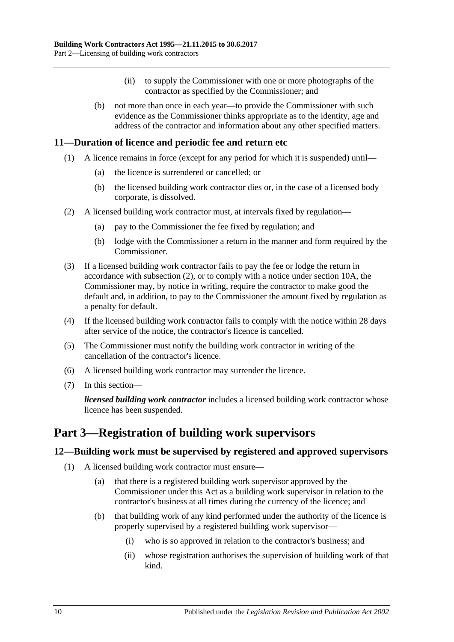- (ii) to supply the Commissioner with one or more photographs of the contractor as specified by the Commissioner; and
- (b) not more than once in each year—to provide the Commissioner with such evidence as the Commissioner thinks appropriate as to the identity, age and address of the contractor and information about any other specified matters.

# <span id="page-9-0"></span>**11—Duration of licence and periodic fee and return etc**

- (1) A licence remains in force (except for any period for which it is suspended) until—
	- (a) the licence is surrendered or cancelled; or
	- (b) the licensed building work contractor dies or, in the case of a licensed body corporate, is dissolved.
- <span id="page-9-3"></span>(2) A licensed building work contractor must, at intervals fixed by regulation—
	- (a) pay to the Commissioner the fee fixed by regulation; and
	- (b) lodge with the Commissioner a return in the manner and form required by the Commissioner.
- (3) If a licensed building work contractor fails to pay the fee or lodge the return in accordance with [subsection](#page-9-3) (2), or to comply with a notice under [section](#page-8-1) 10A, the Commissioner may, by notice in writing, require the contractor to make good the default and, in addition, to pay to the Commissioner the amount fixed by regulation as a penalty for default.
- (4) If the licensed building work contractor fails to comply with the notice within 28 days after service of the notice, the contractor's licence is cancelled.
- (5) The Commissioner must notify the building work contractor in writing of the cancellation of the contractor's licence.
- (6) A licensed building work contractor may surrender the licence.
- (7) In this section—

*licensed building work contractor* includes a licensed building work contractor whose licence has been suspended.

# <span id="page-9-1"></span>**Part 3—Registration of building work supervisors**

# <span id="page-9-5"></span><span id="page-9-2"></span>**12—Building work must be supervised by registered and approved supervisors**

- <span id="page-9-4"></span>(1) A licensed building work contractor must ensure—
	- (a) that there is a registered building work supervisor approved by the Commissioner under this Act as a building work supervisor in relation to the contractor's business at all times during the currency of the licence; and
	- (b) that building work of any kind performed under the authority of the licence is properly supervised by a registered building work supervisor—
		- (i) who is so approved in relation to the contractor's business; and
		- (ii) whose registration authorises the supervision of building work of that kind.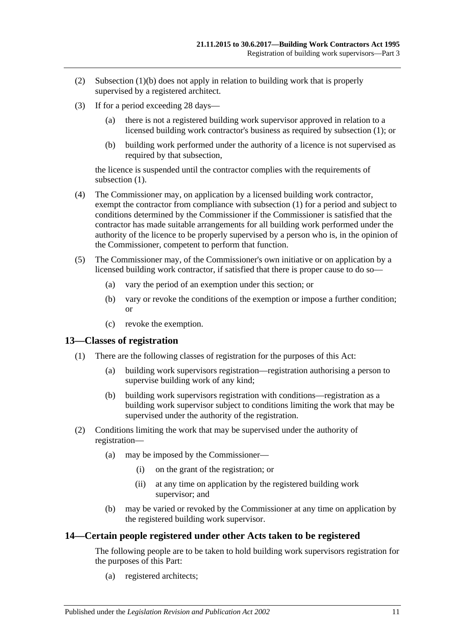- (2) [Subsection](#page-9-4) (1)(b) does not apply in relation to building work that is properly supervised by a registered architect.
- (3) If for a period exceeding 28 days—
	- (a) there is not a registered building work supervisor approved in relation to a licensed building work contractor's business as required by [subsection](#page-9-5) (1); or
	- (b) building work performed under the authority of a licence is not supervised as required by that subsection,

the licence is suspended until the contractor complies with the requirements of [subsection](#page-9-5)  $(1)$ .

- (4) The Commissioner may, on application by a licensed building work contractor, exempt the contractor from compliance with [subsection](#page-9-5) (1) for a period and subject to conditions determined by the Commissioner if the Commissioner is satisfied that the contractor has made suitable arrangements for all building work performed under the authority of the licence to be properly supervised by a person who is, in the opinion of the Commissioner, competent to perform that function.
- (5) The Commissioner may, of the Commissioner's own initiative or on application by a licensed building work contractor, if satisfied that there is proper cause to do so—
	- (a) vary the period of an exemption under this section; or
	- (b) vary or revoke the conditions of the exemption or impose a further condition; or
	- (c) revoke the exemption.

### <span id="page-10-0"></span>**13—Classes of registration**

- (1) There are the following classes of registration for the purposes of this Act:
	- (a) building work supervisors registration—registration authorising a person to supervise building work of any kind;
	- (b) building work supervisors registration with conditions—registration as a building work supervisor subject to conditions limiting the work that may be supervised under the authority of the registration.
- (2) Conditions limiting the work that may be supervised under the authority of registration—
	- (a) may be imposed by the Commissioner—
		- (i) on the grant of the registration; or
		- (ii) at any time on application by the registered building work supervisor; and
	- (b) may be varied or revoked by the Commissioner at any time on application by the registered building work supervisor.

### <span id="page-10-1"></span>**14—Certain people registered under other Acts taken to be registered**

The following people are to be taken to hold building work supervisors registration for the purposes of this Part:

(a) registered architects;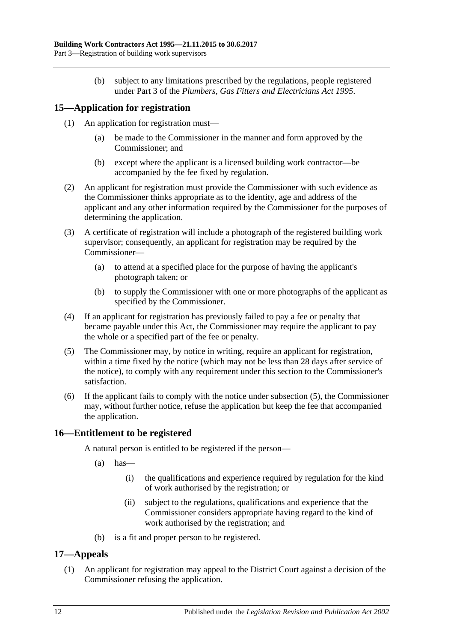(b) subject to any limitations prescribed by the regulations, people registered under Part 3 of the *[Plumbers, Gas Fitters and Electricians Act](http://www.legislation.sa.gov.au/index.aspx?action=legref&type=act&legtitle=Plumbers%20Gas%20Fitters%20and%20Electricians%20Act%201995) 1995*.

# <span id="page-11-0"></span>**15—Application for registration**

- (1) An application for registration must—
	- (a) be made to the Commissioner in the manner and form approved by the Commissioner; and
	- (b) except where the applicant is a licensed building work contractor—be accompanied by the fee fixed by regulation.
- (2) An applicant for registration must provide the Commissioner with such evidence as the Commissioner thinks appropriate as to the identity, age and address of the applicant and any other information required by the Commissioner for the purposes of determining the application.
- (3) A certificate of registration will include a photograph of the registered building work supervisor; consequently, an applicant for registration may be required by the Commissioner—
	- (a) to attend at a specified place for the purpose of having the applicant's photograph taken; or
	- (b) to supply the Commissioner with one or more photographs of the applicant as specified by the Commissioner.
- (4) If an applicant for registration has previously failed to pay a fee or penalty that became payable under this Act, the Commissioner may require the applicant to pay the whole or a specified part of the fee or penalty.
- <span id="page-11-3"></span>(5) The Commissioner may, by notice in writing, require an applicant for registration, within a time fixed by the notice (which may not be less than 28 days after service of the notice), to comply with any requirement under this section to the Commissioner's satisfaction.
- (6) If the applicant fails to comply with the notice under [subsection](#page-11-3) (5), the Commissioner may, without further notice, refuse the application but keep the fee that accompanied the application.

# <span id="page-11-1"></span>**16—Entitlement to be registered**

A natural person is entitled to be registered if the person—

- $(a)$  has—
	- (i) the qualifications and experience required by regulation for the kind of work authorised by the registration; or
	- (ii) subject to the regulations, qualifications and experience that the Commissioner considers appropriate having regard to the kind of work authorised by the registration; and
- (b) is a fit and proper person to be registered.

# <span id="page-11-2"></span>**17—Appeals**

(1) An applicant for registration may appeal to the District Court against a decision of the Commissioner refusing the application.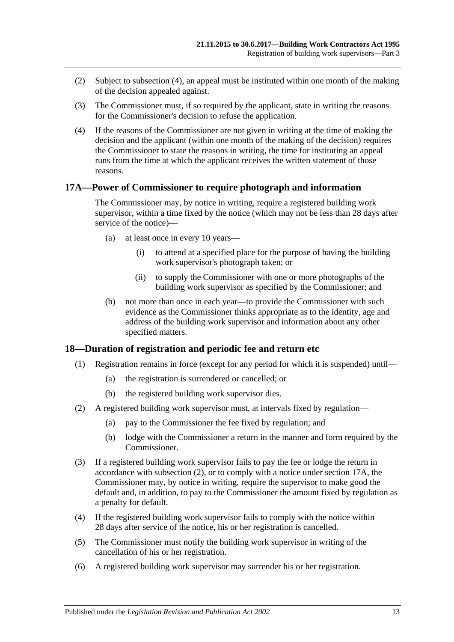- (2) Subject to [subsection](#page-12-2) (4), an appeal must be instituted within one month of the making of the decision appealed against.
- (3) The Commissioner must, if so required by the applicant, state in writing the reasons for the Commissioner's decision to refuse the application.
- <span id="page-12-2"></span>(4) If the reasons of the Commissioner are not given in writing at the time of making the decision and the applicant (within one month of the making of the decision) requires the Commissioner to state the reasons in writing, the time for instituting an appeal runs from the time at which the applicant receives the written statement of those reasons.

## <span id="page-12-0"></span>**17A—Power of Commissioner to require photograph and information**

The Commissioner may, by notice in writing, require a registered building work supervisor, within a time fixed by the notice (which may not be less than 28 days after service of the notice)—

- (a) at least once in every 10 years—
	- (i) to attend at a specified place for the purpose of having the building work supervisor's photograph taken; or
	- (ii) to supply the Commissioner with one or more photographs of the building work supervisor as specified by the Commissioner; and
- (b) not more than once in each year—to provide the Commissioner with such evidence as the Commissioner thinks appropriate as to the identity, age and address of the building work supervisor and information about any other specified matters.

# <span id="page-12-1"></span>**18—Duration of registration and periodic fee and return etc**

- (1) Registration remains in force (except for any period for which it is suspended) until—
	- (a) the registration is surrendered or cancelled; or
	- (b) the registered building work supervisor dies.
- <span id="page-12-3"></span>(2) A registered building work supervisor must, at intervals fixed by regulation—
	- (a) pay to the Commissioner the fee fixed by regulation; and
	- (b) lodge with the Commissioner a return in the manner and form required by the Commissioner.
- (3) If a registered building work supervisor fails to pay the fee or lodge the return in accordance with [subsection](#page-12-3) (2), or to comply with a notice under [section](#page-12-0) 17A, the Commissioner may, by notice in writing, require the supervisor to make good the default and, in addition, to pay to the Commissioner the amount fixed by regulation as a penalty for default.
- (4) If the registered building work supervisor fails to comply with the notice within 28 days after service of the notice, his or her registration is cancelled.
- (5) The Commissioner must notify the building work supervisor in writing of the cancellation of his or her registration.
- (6) A registered building work supervisor may surrender his or her registration.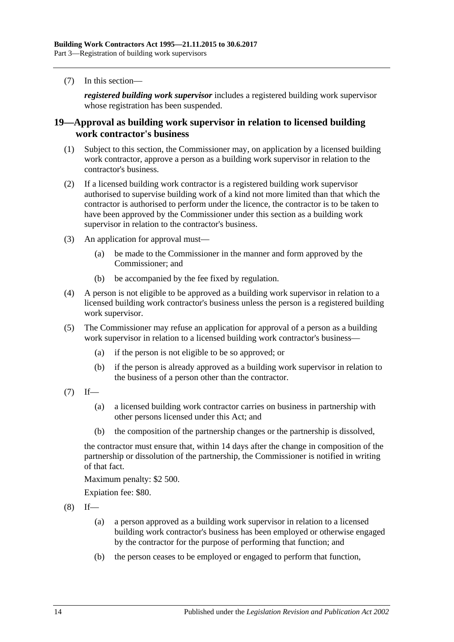(7) In this section—

*registered building work supervisor* includes a registered building work supervisor whose registration has been suspended.

# <span id="page-13-0"></span>**19—Approval as building work supervisor in relation to licensed building work contractor's business**

- (1) Subject to this section, the Commissioner may, on application by a licensed building work contractor, approve a person as a building work supervisor in relation to the contractor's business.
- (2) If a licensed building work contractor is a registered building work supervisor authorised to supervise building work of a kind not more limited than that which the contractor is authorised to perform under the licence, the contractor is to be taken to have been approved by the Commissioner under this section as a building work supervisor in relation to the contractor's business.
- (3) An application for approval must—
	- (a) be made to the Commissioner in the manner and form approved by the Commissioner; and
	- (b) be accompanied by the fee fixed by regulation.
- (4) A person is not eligible to be approved as a building work supervisor in relation to a licensed building work contractor's business unless the person is a registered building work supervisor.
- (5) The Commissioner may refuse an application for approval of a person as a building work supervisor in relation to a licensed building work contractor's business—
	- (a) if the person is not eligible to be so approved; or
	- (b) if the person is already approved as a building work supervisor in relation to the business of a person other than the contractor.
- $(7)$  If—
	- (a) a licensed building work contractor carries on business in partnership with other persons licensed under this Act; and
	- (b) the composition of the partnership changes or the partnership is dissolved,

the contractor must ensure that, within 14 days after the change in composition of the partnership or dissolution of the partnership, the Commissioner is notified in writing of that fact.

Maximum penalty: \$2 500.

Expiation fee: \$80.

 $(8)$  If—

- (a) a person approved as a building work supervisor in relation to a licensed building work contractor's business has been employed or otherwise engaged by the contractor for the purpose of performing that function; and
- (b) the person ceases to be employed or engaged to perform that function,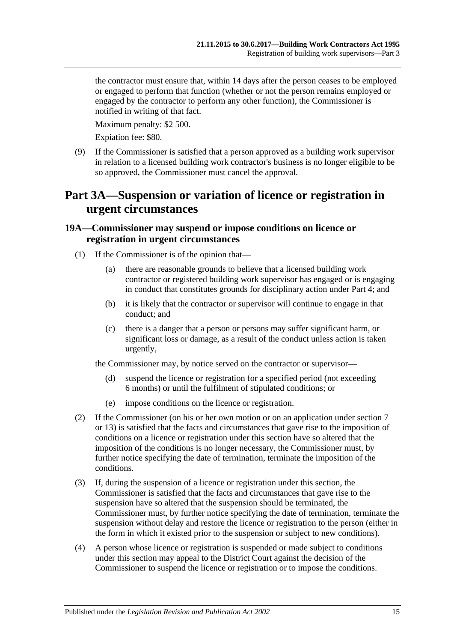the contractor must ensure that, within 14 days after the person ceases to be employed or engaged to perform that function (whether or not the person remains employed or engaged by the contractor to perform any other function), the Commissioner is notified in writing of that fact.

Maximum penalty: \$2 500.

Expiation fee: \$80.

(9) If the Commissioner is satisfied that a person approved as a building work supervisor in relation to a licensed building work contractor's business is no longer eligible to be so approved, the Commissioner must cancel the approval.

# <span id="page-14-0"></span>**Part 3A—Suspension or variation of licence or registration in urgent circumstances**

# <span id="page-14-1"></span>**19A—Commissioner may suspend or impose conditions on licence or registration in urgent circumstances**

- (1) If the Commissioner is of the opinion that—
	- (a) there are reasonable grounds to believe that a licensed building work contractor or registered building work supervisor has engaged or is engaging in conduct that constitutes grounds for disciplinary action under [Part 4;](#page-16-0) and
	- (b) it is likely that the contractor or supervisor will continue to engage in that conduct; and
	- (c) there is a danger that a person or persons may suffer significant harm, or significant loss or damage, as a result of the conduct unless action is taken urgently,

the Commissioner may, by notice served on the contractor or supervisor—

- (d) suspend the licence or registration for a specified period (not exceeding 6 months) or until the fulfilment of stipulated conditions; or
- (e) impose conditions on the licence or registration.
- (2) If the Commissioner (on his or her own motion or on an application under [section](#page-5-0) 7 or [13\)](#page-10-0) is satisfied that the facts and circumstances that gave rise to the imposition of conditions on a licence or registration under this section have so altered that the imposition of the conditions is no longer necessary, the Commissioner must, by further notice specifying the date of termination, terminate the imposition of the conditions.
- (3) If, during the suspension of a licence or registration under this section, the Commissioner is satisfied that the facts and circumstances that gave rise to the suspension have so altered that the suspension should be terminated, the Commissioner must, by further notice specifying the date of termination, terminate the suspension without delay and restore the licence or registration to the person (either in the form in which it existed prior to the suspension or subject to new conditions).
- (4) A person whose licence or registration is suspended or made subject to conditions under this section may appeal to the District Court against the decision of the Commissioner to suspend the licence or registration or to impose the conditions.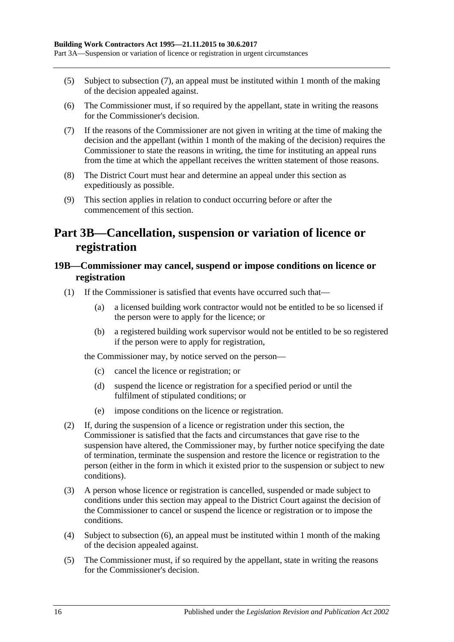- (5) Subject to [subsection](#page-15-2) (7), an appeal must be instituted within 1 month of the making of the decision appealed against.
- (6) The Commissioner must, if so required by the appellant, state in writing the reasons for the Commissioner's decision.
- <span id="page-15-2"></span>(7) If the reasons of the Commissioner are not given in writing at the time of making the decision and the appellant (within 1 month of the making of the decision) requires the Commissioner to state the reasons in writing, the time for instituting an appeal runs from the time at which the appellant receives the written statement of those reasons.
- (8) The District Court must hear and determine an appeal under this section as expeditiously as possible.
- (9) This section applies in relation to conduct occurring before or after the commencement of this section.

# <span id="page-15-0"></span>**Part 3B—Cancellation, suspension or variation of licence or registration**

# <span id="page-15-1"></span>**19B—Commissioner may cancel, suspend or impose conditions on licence or registration**

- (1) If the Commissioner is satisfied that events have occurred such that—
	- (a) a licensed building work contractor would not be entitled to be so licensed if the person were to apply for the licence; or
	- (b) a registered building work supervisor would not be entitled to be so registered if the person were to apply for registration,

the Commissioner may, by notice served on the person—

- (c) cancel the licence or registration; or
- (d) suspend the licence or registration for a specified period or until the fulfilment of stipulated conditions; or
- (e) impose conditions on the licence or registration.
- (2) If, during the suspension of a licence or registration under this section, the Commissioner is satisfied that the facts and circumstances that gave rise to the suspension have altered, the Commissioner may, by further notice specifying the date of termination, terminate the suspension and restore the licence or registration to the person (either in the form in which it existed prior to the suspension or subject to new conditions).
- (3) A person whose licence or registration is cancelled, suspended or made subject to conditions under this section may appeal to the District Court against the decision of the Commissioner to cancel or suspend the licence or registration or to impose the conditions.
- (4) Subject to [subsection](#page-16-3) (6), an appeal must be instituted within 1 month of the making of the decision appealed against.
- (5) The Commissioner must, if so required by the appellant, state in writing the reasons for the Commissioner's decision.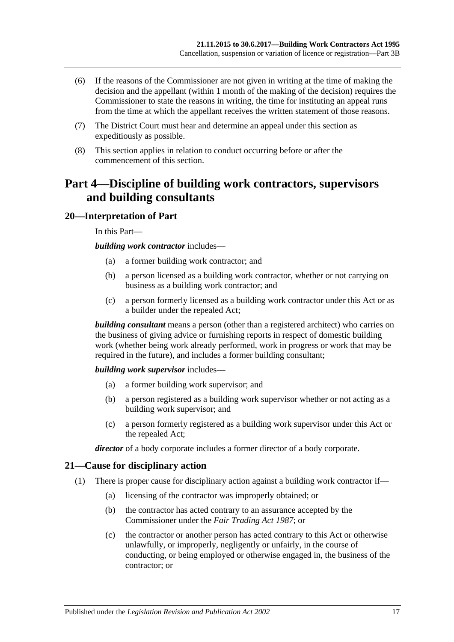- <span id="page-16-3"></span>(6) If the reasons of the Commissioner are not given in writing at the time of making the decision and the appellant (within 1 month of the making of the decision) requires the Commissioner to state the reasons in writing, the time for instituting an appeal runs from the time at which the appellant receives the written statement of those reasons.
- (7) The District Court must hear and determine an appeal under this section as expeditiously as possible.
- (8) This section applies in relation to conduct occurring before or after the commencement of this section.

# <span id="page-16-0"></span>**Part 4—Discipline of building work contractors, supervisors and building consultants**

# <span id="page-16-1"></span>**20—Interpretation of Part**

In this Part—

*building work contractor* includes—

- (a) a former building work contractor; and
- (b) a person licensed as a building work contractor, whether or not carrying on business as a building work contractor; and
- (c) a person formerly licensed as a building work contractor under this Act or as a builder under the repealed Act;

*building consultant* means a person (other than a registered architect) who carries on the business of giving advice or furnishing reports in respect of domestic building work (whether being work already performed, work in progress or work that may be required in the future), and includes a former building consultant;

*building work supervisor* includes—

- (a) a former building work supervisor; and
- (b) a person registered as a building work supervisor whether or not acting as a building work supervisor; and
- (c) a person formerly registered as a building work supervisor under this Act or the repealed Act;

*director* of a body corporate includes a former director of a body corporate.

# <span id="page-16-2"></span>**21—Cause for disciplinary action**

- (1) There is proper cause for disciplinary action against a building work contractor if—
	- (a) licensing of the contractor was improperly obtained; or
	- (b) the contractor has acted contrary to an assurance accepted by the Commissioner under the *[Fair Trading Act](http://www.legislation.sa.gov.au/index.aspx?action=legref&type=act&legtitle=Fair%20Trading%20Act%201987) 1987*; or
	- (c) the contractor or another person has acted contrary to this Act or otherwise unlawfully, or improperly, negligently or unfairly, in the course of conducting, or being employed or otherwise engaged in, the business of the contractor; or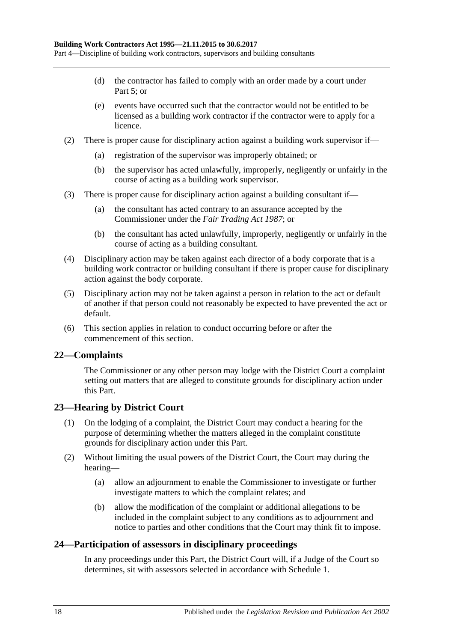- (d) the contractor has failed to comply with an order made by a court under [Part](#page-19-1) 5; or
- (e) events have occurred such that the contractor would not be entitled to be licensed as a building work contractor if the contractor were to apply for a licence.
- (2) There is proper cause for disciplinary action against a building work supervisor if—
	- (a) registration of the supervisor was improperly obtained; or
	- (b) the supervisor has acted unlawfully, improperly, negligently or unfairly in the course of acting as a building work supervisor.
- (3) There is proper cause for disciplinary action against a building consultant if—
	- (a) the consultant has acted contrary to an assurance accepted by the Commissioner under the *[Fair Trading Act](http://www.legislation.sa.gov.au/index.aspx?action=legref&type=act&legtitle=Fair%20Trading%20Act%201987) 1987*; or
	- (b) the consultant has acted unlawfully, improperly, negligently or unfairly in the course of acting as a building consultant.
- (4) Disciplinary action may be taken against each director of a body corporate that is a building work contractor or building consultant if there is proper cause for disciplinary action against the body corporate.
- (5) Disciplinary action may not be taken against a person in relation to the act or default of another if that person could not reasonably be expected to have prevented the act or default.
- (6) This section applies in relation to conduct occurring before or after the commencement of this section.

# <span id="page-17-0"></span>**22—Complaints**

The Commissioner or any other person may lodge with the District Court a complaint setting out matters that are alleged to constitute grounds for disciplinary action under this Part.

# <span id="page-17-1"></span>**23—Hearing by District Court**

- (1) On the lodging of a complaint, the District Court may conduct a hearing for the purpose of determining whether the matters alleged in the complaint constitute grounds for disciplinary action under this Part.
- (2) Without limiting the usual powers of the District Court, the Court may during the hearing—
	- (a) allow an adjournment to enable the Commissioner to investigate or further investigate matters to which the complaint relates; and
	- (b) allow the modification of the complaint or additional allegations to be included in the complaint subject to any conditions as to adjournment and notice to parties and other conditions that the Court may think fit to impose.

# <span id="page-17-2"></span>**24—Participation of assessors in disciplinary proceedings**

In any proceedings under this Part, the District Court will, if a Judge of the Court so determines, sit with assessors selected in accordance with [Schedule 1.](#page-35-0)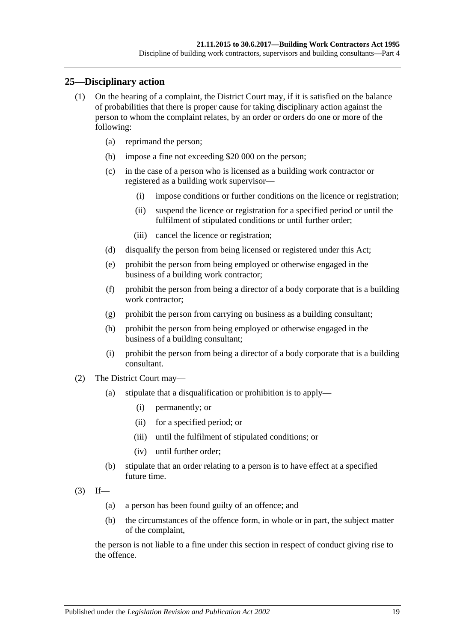# <span id="page-18-0"></span>**25—Disciplinary action**

- (1) On the hearing of a complaint, the District Court may, if it is satisfied on the balance of probabilities that there is proper cause for taking disciplinary action against the person to whom the complaint relates, by an order or orders do one or more of the following:
	- (a) reprimand the person;
	- (b) impose a fine not exceeding \$20 000 on the person;
	- (c) in the case of a person who is licensed as a building work contractor or registered as a building work supervisor—
		- (i) impose conditions or further conditions on the licence or registration;
		- (ii) suspend the licence or registration for a specified period or until the fulfilment of stipulated conditions or until further order;
		- (iii) cancel the licence or registration;
	- (d) disqualify the person from being licensed or registered under this Act;
	- (e) prohibit the person from being employed or otherwise engaged in the business of a building work contractor;
	- (f) prohibit the person from being a director of a body corporate that is a building work contractor:
	- (g) prohibit the person from carrying on business as a building consultant;
	- (h) prohibit the person from being employed or otherwise engaged in the business of a building consultant;
	- (i) prohibit the person from being a director of a body corporate that is a building consultant.
- (2) The District Court may—
	- (a) stipulate that a disqualification or prohibition is to apply—
		- (i) permanently; or
		- (ii) for a specified period; or
		- (iii) until the fulfilment of stipulated conditions; or
		- (iv) until further order;
	- (b) stipulate that an order relating to a person is to have effect at a specified future time.
- $(3)$  If—
	- (a) a person has been found guilty of an offence; and
	- (b) the circumstances of the offence form, in whole or in part, the subject matter of the complaint,

the person is not liable to a fine under this section in respect of conduct giving rise to the offence.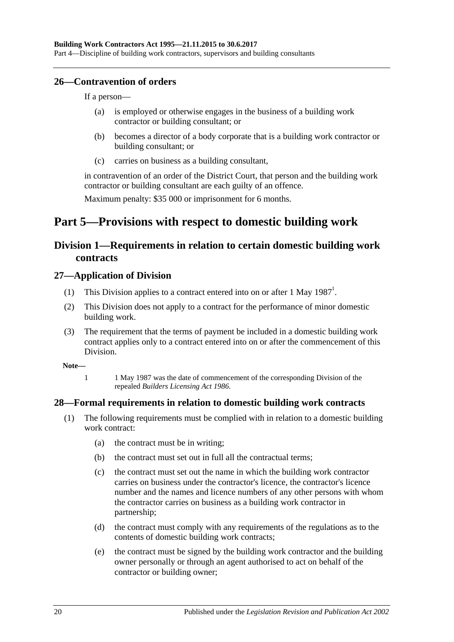# <span id="page-19-0"></span>**26—Contravention of orders**

If a person—

- (a) is employed or otherwise engages in the business of a building work contractor or building consultant; or
- (b) becomes a director of a body corporate that is a building work contractor or building consultant; or
- (c) carries on business as a building consultant,

in contravention of an order of the District Court, that person and the building work contractor or building consultant are each guilty of an offence.

Maximum penalty: \$35 000 or imprisonment for 6 months.

# <span id="page-19-1"></span>**Part 5—Provisions with respect to domestic building work**

# <span id="page-19-2"></span>**Division 1—Requirements in relation to certain domestic building work contracts**

# <span id="page-19-3"></span>**27—Application of Division**

- (1) This Division applies to a contract entered into on or after 1 May  $1987<sup>1</sup>$ .
- (2) This Division does not apply to a contract for the performance of minor domestic building work.
- (3) The requirement that the terms of payment be included in a domestic building work contract applies only to a contract entered into on or after the commencement of this Division.

**Note—**

1 1 May 1987 was the date of commencement of the corresponding Division of the repealed *[Builders Licensing Act](http://www.legislation.sa.gov.au/index.aspx?action=legref&type=act&legtitle=Builders%20Licensing%20Act%201986) 1986*.

# <span id="page-19-5"></span><span id="page-19-4"></span>**28—Formal requirements in relation to domestic building work contracts**

- (1) The following requirements must be complied with in relation to a domestic building work contract:
	- (a) the contract must be in writing;
	- (b) the contract must set out in full all the contractual terms;
	- (c) the contract must set out the name in which the building work contractor carries on business under the contractor's licence, the contractor's licence number and the names and licence numbers of any other persons with whom the contractor carries on business as a building work contractor in partnership;
	- (d) the contract must comply with any requirements of the regulations as to the contents of domestic building work contracts;
	- (e) the contract must be signed by the building work contractor and the building owner personally or through an agent authorised to act on behalf of the contractor or building owner;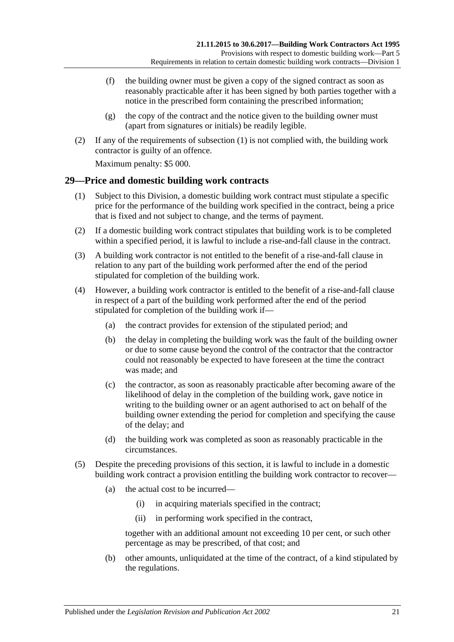- (f) the building owner must be given a copy of the signed contract as soon as reasonably practicable after it has been signed by both parties together with a notice in the prescribed form containing the prescribed information;
- $(g)$  the copy of the contract and the notice given to the building owner must (apart from signatures or initials) be readily legible.
- (2) If any of the requirements of [subsection](#page-19-5) (1) is not complied with, the building work contractor is guilty of an offence.

Maximum penalty: \$5 000.

## <span id="page-20-0"></span>**29—Price and domestic building work contracts**

- (1) Subject to this Division, a domestic building work contract must stipulate a specific price for the performance of the building work specified in the contract, being a price that is fixed and not subject to change, and the terms of payment.
- (2) If a domestic building work contract stipulates that building work is to be completed within a specified period, it is lawful to include a rise-and-fall clause in the contract.
- (3) A building work contractor is not entitled to the benefit of a rise-and-fall clause in relation to any part of the building work performed after the end of the period stipulated for completion of the building work.
- (4) However, a building work contractor is entitled to the benefit of a rise-and-fall clause in respect of a part of the building work performed after the end of the period stipulated for completion of the building work if—
	- (a) the contract provides for extension of the stipulated period; and
	- (b) the delay in completing the building work was the fault of the building owner or due to some cause beyond the control of the contractor that the contractor could not reasonably be expected to have foreseen at the time the contract was made; and
	- (c) the contractor, as soon as reasonably practicable after becoming aware of the likelihood of delay in the completion of the building work, gave notice in writing to the building owner or an agent authorised to act on behalf of the building owner extending the period for completion and specifying the cause of the delay; and
	- (d) the building work was completed as soon as reasonably practicable in the circumstances.
- <span id="page-20-1"></span>(5) Despite the preceding provisions of this section, it is lawful to include in a domestic building work contract a provision entitling the building work contractor to recover—
	- (a) the actual cost to be incurred—
		- (i) in acquiring materials specified in the contract;
		- (ii) in performing work specified in the contract,

together with an additional amount not exceeding 10 per cent, or such other percentage as may be prescribed, of that cost; and

(b) other amounts, unliquidated at the time of the contract, of a kind stipulated by the regulations.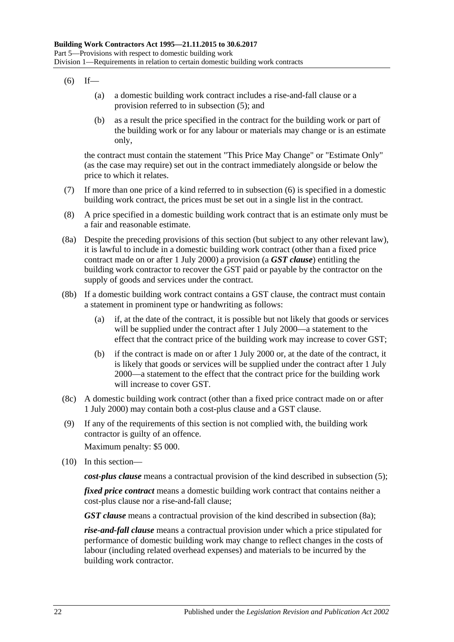### <span id="page-21-0"></span> $(6)$  If—

- (a) a domestic building work contract includes a rise-and-fall clause or a provision referred to in [subsection](#page-20-1) (5); and
- (b) as a result the price specified in the contract for the building work or part of the building work or for any labour or materials may change or is an estimate only,

the contract must contain the statement "This Price May Change" or "Estimate Only" (as the case may require) set out in the contract immediately alongside or below the price to which it relates.

- (7) If more than one price of a kind referred to in [subsection](#page-21-0) (6) is specified in a domestic building work contract, the prices must be set out in a single list in the contract.
- (8) A price specified in a domestic building work contract that is an estimate only must be a fair and reasonable estimate.
- <span id="page-21-1"></span>(8a) Despite the preceding provisions of this section (but subject to any other relevant law), it is lawful to include in a domestic building work contract (other than a fixed price contract made on or after 1 July 2000) a provision (a *GST clause*) entitling the building work contractor to recover the GST paid or payable by the contractor on the supply of goods and services under the contract.
- (8b) If a domestic building work contract contains a GST clause, the contract must contain a statement in prominent type or handwriting as follows:
	- (a) if, at the date of the contract, it is possible but not likely that goods or services will be supplied under the contract after 1 July 2000—a statement to the effect that the contract price of the building work may increase to cover GST;
	- (b) if the contract is made on or after 1 July 2000 or, at the date of the contract, it is likely that goods or services will be supplied under the contract after 1 July 2000—a statement to the effect that the contract price for the building work will increase to cover GST.
- (8c) A domestic building work contract (other than a fixed price contract made on or after 1 July 2000) may contain both a cost-plus clause and a GST clause.
- (9) If any of the requirements of this section is not complied with, the building work contractor is guilty of an offence.

Maximum penalty: \$5 000.

(10) In this section—

*cost-plus clause* means a contractual provision of the kind described in [subsection](#page-20-1) (5);

*fixed price contract* means a domestic building work contract that contains neither a cost-plus clause nor a rise-and-fall clause;

*GST clause* means a contractual provision of the kind described in [subsection](#page-21-1) (8a);

*rise-and-fall clause* means a contractual provision under which a price stipulated for performance of domestic building work may change to reflect changes in the costs of labour (including related overhead expenses) and materials to be incurred by the building work contractor.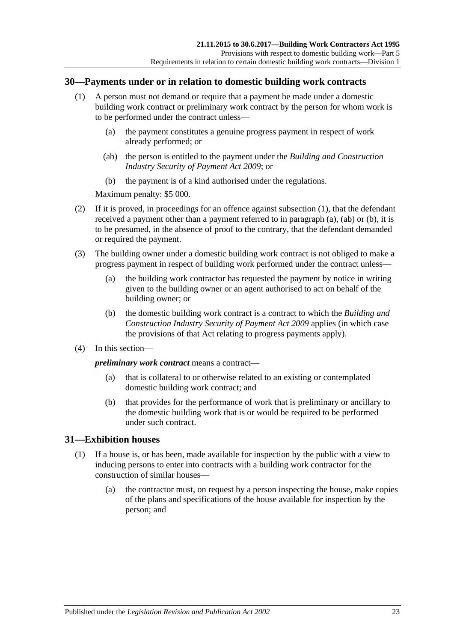## <span id="page-22-2"></span><span id="page-22-0"></span>**30—Payments under or in relation to domestic building work contracts**

- <span id="page-22-3"></span>(1) A person must not demand or require that a payment be made under a domestic building work contract or preliminary work contract by the person for whom work is to be performed under the contract unless—
	- (a) the payment constitutes a genuine progress payment in respect of work already performed; or
	- (ab) the person is entitled to the payment under the *[Building and Construction](http://www.legislation.sa.gov.au/index.aspx?action=legref&type=act&legtitle=Building%20and%20Construction%20Industry%20Security%20of%20Payment%20Act%202009)  [Industry Security of Payment Act](http://www.legislation.sa.gov.au/index.aspx?action=legref&type=act&legtitle=Building%20and%20Construction%20Industry%20Security%20of%20Payment%20Act%202009) 2009*; or
	- (b) the payment is of a kind authorised under the regulations.

<span id="page-22-4"></span>Maximum penalty: \$5 000.

- <span id="page-22-5"></span>(2) If it is proved, in proceedings for an offence against [subsection](#page-22-2) (1), that the defendant received a payment other than a payment referred to in [paragraph](#page-22-3) (a), [\(ab\)](#page-22-4) or [\(b\),](#page-22-5) it is to be presumed, in the absence of proof to the contrary, that the defendant demanded or required the payment.
- (3) The building owner under a domestic building work contract is not obliged to make a progress payment in respect of building work performed under the contract unless—
	- (a) the building work contractor has requested the payment by notice in writing given to the building owner or an agent authorised to act on behalf of the building owner; or
	- (b) the domestic building work contract is a contract to which the *[Building and](http://www.legislation.sa.gov.au/index.aspx?action=legref&type=act&legtitle=Building%20and%20Construction%20Industry%20Security%20of%20Payment%20Act%202009)  [Construction Industry Security of Payment Act](http://www.legislation.sa.gov.au/index.aspx?action=legref&type=act&legtitle=Building%20and%20Construction%20Industry%20Security%20of%20Payment%20Act%202009) 2009* applies (in which case the provisions of that Act relating to progress payments apply).
- (4) In this section—

*preliminary work contract* means a contract—

- (a) that is collateral to or otherwise related to an existing or contemplated domestic building work contract; and
- (b) that provides for the performance of work that is preliminary or ancillary to the domestic building work that is or would be required to be performed under such contract.

### <span id="page-22-1"></span>**31—Exhibition houses**

- <span id="page-22-6"></span>(1) If a house is, or has been, made available for inspection by the public with a view to inducing persons to enter into contracts with a building work contractor for the construction of similar houses—
	- (a) the contractor must, on request by a person inspecting the house, make copies of the plans and specifications of the house available for inspection by the person; and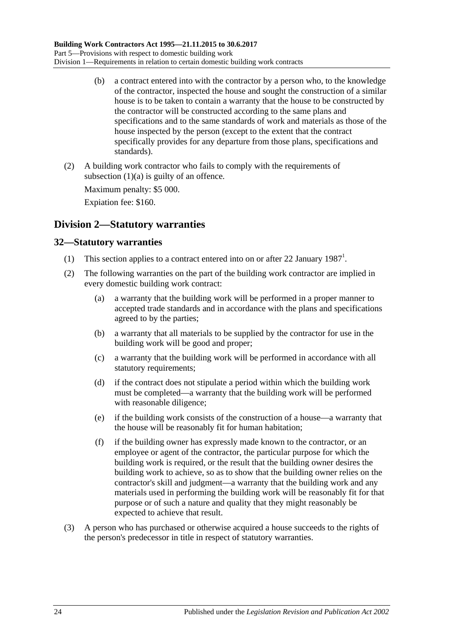- (b) a contract entered into with the contractor by a person who, to the knowledge of the contractor, inspected the house and sought the construction of a similar house is to be taken to contain a warranty that the house to be constructed by the contractor will be constructed according to the same plans and specifications and to the same standards of work and materials as those of the house inspected by the person (except to the extent that the contract specifically provides for any departure from those plans, specifications and standards).
- (2) A building work contractor who fails to comply with the requirements of [subsection](#page-22-6)  $(1)(a)$  is guilty of an offence.

Maximum penalty: \$5 000.

Expiation fee: \$160.

# <span id="page-23-0"></span>**Division 2—Statutory warranties**

# <span id="page-23-1"></span>**32—Statutory warranties**

- (1) This section applies to a contract entered into on or after 22 January  $1987<sup>1</sup>$ .
- (2) The following warranties on the part of the building work contractor are implied in every domestic building work contract:
	- (a) a warranty that the building work will be performed in a proper manner to accepted trade standards and in accordance with the plans and specifications agreed to by the parties;
	- (b) a warranty that all materials to be supplied by the contractor for use in the building work will be good and proper;
	- (c) a warranty that the building work will be performed in accordance with all statutory requirements;
	- (d) if the contract does not stipulate a period within which the building work must be completed—a warranty that the building work will be performed with reasonable diligence;
	- (e) if the building work consists of the construction of a house—a warranty that the house will be reasonably fit for human habitation;
	- (f) if the building owner has expressly made known to the contractor, or an employee or agent of the contractor, the particular purpose for which the building work is required, or the result that the building owner desires the building work to achieve, so as to show that the building owner relies on the contractor's skill and judgment—a warranty that the building work and any materials used in performing the building work will be reasonably fit for that purpose or of such a nature and quality that they might reasonably be expected to achieve that result.
- (3) A person who has purchased or otherwise acquired a house succeeds to the rights of the person's predecessor in title in respect of statutory warranties.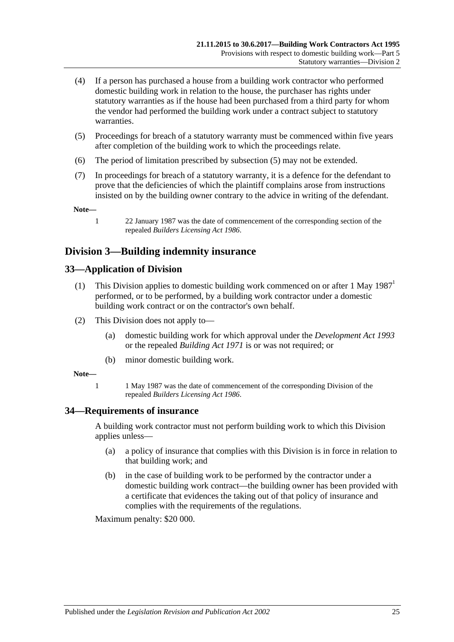- (4) If a person has purchased a house from a building work contractor who performed domestic building work in relation to the house, the purchaser has rights under statutory warranties as if the house had been purchased from a third party for whom the vendor had performed the building work under a contract subject to statutory warranties.
- <span id="page-24-3"></span>(5) Proceedings for breach of a statutory warranty must be commenced within five years after completion of the building work to which the proceedings relate.
- (6) The period of limitation prescribed by [subsection](#page-24-3) (5) may not be extended.
- (7) In proceedings for breach of a statutory warranty, it is a defence for the defendant to prove that the deficiencies of which the plaintiff complains arose from instructions insisted on by the building owner contrary to the advice in writing of the defendant.

**Note—**

1 22 January 1987 was the date of commencement of the corresponding section of the repealed *[Builders Licensing Act](http://www.legislation.sa.gov.au/index.aspx?action=legref&type=act&legtitle=Builders%20Licensing%20Act%201986) 1986*.

# <span id="page-24-0"></span>**Division 3—Building indemnity insurance**

# <span id="page-24-1"></span>**33—Application of Division**

- (1) This Division applies to domestic building work commenced on or after 1 May 1987<sup>1</sup> performed, or to be performed, by a building work contractor under a domestic building work contract or on the contractor's own behalf.
- (2) This Division does not apply to—
	- (a) domestic building work for which approval under the *[Development Act](http://www.legislation.sa.gov.au/index.aspx?action=legref&type=act&legtitle=Development%20Act%201993) 1993* or the repealed *[Building Act](http://www.legislation.sa.gov.au/index.aspx?action=legref&type=act&legtitle=Building%20Act%201971) 1971* is or was not required; or
	- (b) minor domestic building work.

#### **Note—**

1 1 May 1987 was the date of commencement of the corresponding Division of the repealed *[Builders Licensing Act](http://www.legislation.sa.gov.au/index.aspx?action=legref&type=act&legtitle=Builders%20Licensing%20Act%201986) 1986*.

### <span id="page-24-2"></span>**34—Requirements of insurance**

A building work contractor must not perform building work to which this Division applies unless—

- (a) a policy of insurance that complies with this Division is in force in relation to that building work; and
- (b) in the case of building work to be performed by the contractor under a domestic building work contract—the building owner has been provided with a certificate that evidences the taking out of that policy of insurance and complies with the requirements of the regulations.

Maximum penalty: \$20 000.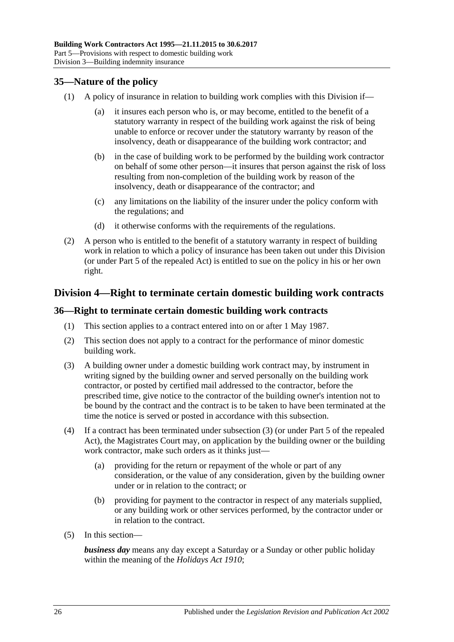# <span id="page-25-0"></span>**35—Nature of the policy**

- (1) A policy of insurance in relation to building work complies with this Division if
	- it insures each person who is, or may become, entitled to the benefit of a statutory warranty in respect of the building work against the risk of being unable to enforce or recover under the statutory warranty by reason of the insolvency, death or disappearance of the building work contractor; and
	- (b) in the case of building work to be performed by the building work contractor on behalf of some other person—it insures that person against the risk of loss resulting from non-completion of the building work by reason of the insolvency, death or disappearance of the contractor; and
	- (c) any limitations on the liability of the insurer under the policy conform with the regulations; and
	- (d) it otherwise conforms with the requirements of the regulations.
- (2) A person who is entitled to the benefit of a statutory warranty in respect of building work in relation to which a policy of insurance has been taken out under this Division (or under Part 5 of the repealed Act) is entitled to sue on the policy in his or her own right.

# <span id="page-25-1"></span>**Division 4—Right to terminate certain domestic building work contracts**

## <span id="page-25-2"></span>**36—Right to terminate certain domestic building work contracts**

- (1) This section applies to a contract entered into on or after 1 May 1987.
- (2) This section does not apply to a contract for the performance of minor domestic building work.
- <span id="page-25-3"></span>(3) A building owner under a domestic building work contract may, by instrument in writing signed by the building owner and served personally on the building work contractor, or posted by certified mail addressed to the contractor, before the prescribed time, give notice to the contractor of the building owner's intention not to be bound by the contract and the contract is to be taken to have been terminated at the time the notice is served or posted in accordance with this subsection.
- (4) If a contract has been terminated under [subsection](#page-25-3) (3) (or under Part 5 of the repealed Act), the Magistrates Court may, on application by the building owner or the building work contractor, make such orders as it thinks just—
	- (a) providing for the return or repayment of the whole or part of any consideration, or the value of any consideration, given by the building owner under or in relation to the contract; or
	- (b) providing for payment to the contractor in respect of any materials supplied, or any building work or other services performed, by the contractor under or in relation to the contract.
- (5) In this section—

*business day* means any day except a Saturday or a Sunday or other public holiday within the meaning of the *[Holidays Act](http://www.legislation.sa.gov.au/index.aspx?action=legref&type=act&legtitle=Holidays%20Act%201910) 1910*;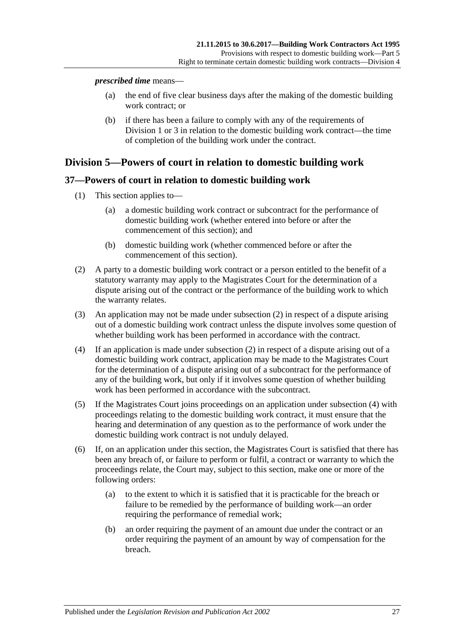#### *prescribed time* means—

- (a) the end of five clear business days after the making of the domestic building work contract; or
- (b) if there has been a failure to comply with any of the requirements of [Division](#page-19-2) 1 or [3](#page-24-0) in relation to the domestic building work contract—the time of completion of the building work under the contract.

# <span id="page-26-0"></span>**Division 5—Powers of court in relation to domestic building work**

# <span id="page-26-1"></span>**37—Powers of court in relation to domestic building work**

- (1) This section applies to—
	- (a) a domestic building work contract or subcontract for the performance of domestic building work (whether entered into before or after the commencement of this section); and
	- (b) domestic building work (whether commenced before or after the commencement of this section).
- <span id="page-26-2"></span>(2) A party to a domestic building work contract or a person entitled to the benefit of a statutory warranty may apply to the Magistrates Court for the determination of a dispute arising out of the contract or the performance of the building work to which the warranty relates.
- (3) An application may not be made under [subsection](#page-26-2) (2) in respect of a dispute arising out of a domestic building work contract unless the dispute involves some question of whether building work has been performed in accordance with the contract.
- <span id="page-26-3"></span>(4) If an application is made under [subsection](#page-26-2) (2) in respect of a dispute arising out of a domestic building work contract, application may be made to the Magistrates Court for the determination of a dispute arising out of a subcontract for the performance of any of the building work, but only if it involves some question of whether building work has been performed in accordance with the subcontract.
- (5) If the Magistrates Court joins proceedings on an application under [subsection](#page-26-3) (4) with proceedings relating to the domestic building work contract, it must ensure that the hearing and determination of any question as to the performance of work under the domestic building work contract is not unduly delayed.
- <span id="page-26-4"></span>(6) If, on an application under this section, the Magistrates Court is satisfied that there has been any breach of, or failure to perform or fulfil, a contract or warranty to which the proceedings relate, the Court may, subject to this section, make one or more of the following orders:
	- (a) to the extent to which it is satisfied that it is practicable for the breach or failure to be remedied by the performance of building work—an order requiring the performance of remedial work;
	- (b) an order requiring the payment of an amount due under the contract or an order requiring the payment of an amount by way of compensation for the breach.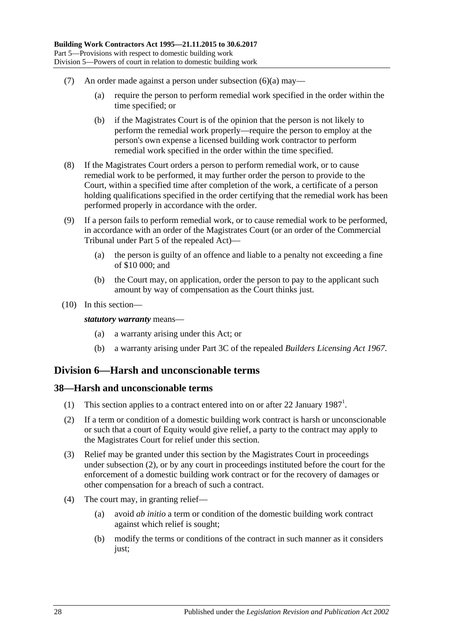- (7) An order made against a person under [subsection](#page-26-4) (6)(a) may—
	- (a) require the person to perform remedial work specified in the order within the time specified; or
	- (b) if the Magistrates Court is of the opinion that the person is not likely to perform the remedial work properly—require the person to employ at the person's own expense a licensed building work contractor to perform remedial work specified in the order within the time specified.
- (8) If the Magistrates Court orders a person to perform remedial work, or to cause remedial work to be performed, it may further order the person to provide to the Court, within a specified time after completion of the work, a certificate of a person holding qualifications specified in the order certifying that the remedial work has been performed properly in accordance with the order.
- (9) If a person fails to perform remedial work, or to cause remedial work to be performed, in accordance with an order of the Magistrates Court (or an order of the Commercial Tribunal under Part 5 of the repealed Act)—
	- (a) the person is guilty of an offence and liable to a penalty not exceeding a fine of \$10 000; and
	- (b) the Court may, on application, order the person to pay to the applicant such amount by way of compensation as the Court thinks just.
- (10) In this section—

#### *statutory warranty* means—

- (a) a warranty arising under this Act; or
- (b) a warranty arising under Part 3C of the repealed *[Builders Licensing Act](http://www.legislation.sa.gov.au/index.aspx?action=legref&type=act&legtitle=Builders%20Licensing%20Act%201967) 1967*.

# <span id="page-27-0"></span>**Division 6—Harsh and unconscionable terms**

### <span id="page-27-1"></span>**38—Harsh and unconscionable terms**

- (1) This section applies to a contract entered into on or after 22 January 1987<sup>1</sup>.
- <span id="page-27-2"></span>(2) If a term or condition of a domestic building work contract is harsh or unconscionable or such that a court of Equity would give relief, a party to the contract may apply to the Magistrates Court for relief under this section.
- (3) Relief may be granted under this section by the Magistrates Court in proceedings under [subsection](#page-27-2) (2), or by any court in proceedings instituted before the court for the enforcement of a domestic building work contract or for the recovery of damages or other compensation for a breach of such a contract.
- (4) The court may, in granting relief—
	- (a) avoid *ab initio* a term or condition of the domestic building work contract against which relief is sought;
	- (b) modify the terms or conditions of the contract in such manner as it considers just;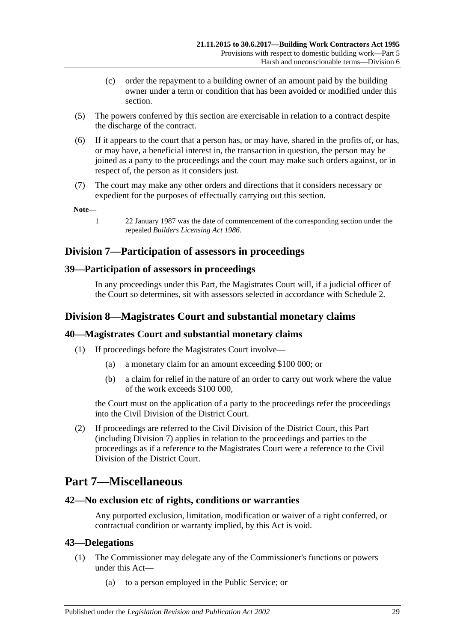- (c) order the repayment to a building owner of an amount paid by the building owner under a term or condition that has been avoided or modified under this section.
- (5) The powers conferred by this section are exercisable in relation to a contract despite the discharge of the contract.
- (6) If it appears to the court that a person has, or may have, shared in the profits of, or has, or may have, a beneficial interest in, the transaction in question, the person may be joined as a party to the proceedings and the court may make such orders against, or in respect of, the person as it considers just.
- (7) The court may make any other orders and directions that it considers necessary or expedient for the purposes of effectually carrying out this section.

**Note—**

1 22 January 1987 was the date of commencement of the corresponding section under the repealed *[Builders Licensing Act](http://www.legislation.sa.gov.au/index.aspx?action=legref&type=act&legtitle=Builders%20Licensing%20Act%201986) 1986*.

# <span id="page-28-0"></span>**Division 7—Participation of assessors in proceedings**

# <span id="page-28-1"></span>**39—Participation of assessors in proceedings**

In any proceedings under this Part, the Magistrates Court will, if a judicial officer of the Court so determines, sit with assessors selected in accordance with [Schedule 2.](#page-36-0)

# <span id="page-28-2"></span>**Division 8—Magistrates Court and substantial monetary claims**

# <span id="page-28-3"></span>**40—Magistrates Court and substantial monetary claims**

- (1) If proceedings before the Magistrates Court involve—
	- (a) a monetary claim for an amount exceeding \$100 000; or
	- (b) a claim for relief in the nature of an order to carry out work where the value of the work exceeds \$100 000,

the Court must on the application of a party to the proceedings refer the proceedings into the Civil Division of the District Court.

(2) If proceedings are referred to the Civil Division of the District Court, this Part (including [Division 7\)](#page-28-0) applies in relation to the proceedings and parties to the proceedings as if a reference to the Magistrates Court were a reference to the Civil Division of the District Court.

# <span id="page-28-4"></span>**Part 7—Miscellaneous**

# <span id="page-28-5"></span>**42—No exclusion etc of rights, conditions or warranties**

Any purported exclusion, limitation, modification or waiver of a right conferred, or contractual condition or warranty implied, by this Act is void.

### <span id="page-28-6"></span>**43—Delegations**

- (1) The Commissioner may delegate any of the Commissioner's functions or powers under this Act—
	- (a) to a person employed in the Public Service; or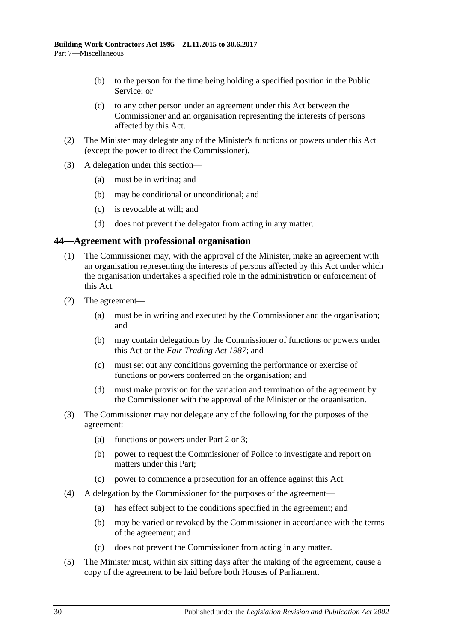- (b) to the person for the time being holding a specified position in the Public Service; or
- (c) to any other person under an agreement under this Act between the Commissioner and an organisation representing the interests of persons affected by this Act.
- (2) The Minister may delegate any of the Minister's functions or powers under this Act (except the power to direct the Commissioner).
- (3) A delegation under this section—
	- (a) must be in writing; and
	- (b) may be conditional or unconditional; and
	- (c) is revocable at will; and
	- (d) does not prevent the delegator from acting in any matter.

### <span id="page-29-0"></span>**44—Agreement with professional organisation**

- (1) The Commissioner may, with the approval of the Minister, make an agreement with an organisation representing the interests of persons affected by this Act under which the organisation undertakes a specified role in the administration or enforcement of this Act.
- (2) The agreement—
	- (a) must be in writing and executed by the Commissioner and the organisation; and
	- (b) may contain delegations by the Commissioner of functions or powers under this Act or the *[Fair Trading Act](http://www.legislation.sa.gov.au/index.aspx?action=legref&type=act&legtitle=Fair%20Trading%20Act%201987) 1987*; and
	- (c) must set out any conditions governing the performance or exercise of functions or powers conferred on the organisation; and
	- (d) must make provision for the variation and termination of the agreement by the Commissioner with the approval of the Minister or the organisation.
- (3) The Commissioner may not delegate any of the following for the purposes of the agreement:
	- (a) functions or powers under [Part 2](#page-4-2) or [3;](#page-9-1)
	- (b) power to request the Commissioner of Police to investigate and report on matters under this Part;
	- (c) power to commence a prosecution for an offence against this Act.
- (4) A delegation by the Commissioner for the purposes of the agreement—
	- (a) has effect subject to the conditions specified in the agreement; and
	- (b) may be varied or revoked by the Commissioner in accordance with the terms of the agreement; and
	- (c) does not prevent the Commissioner from acting in any matter.
- (5) The Minister must, within six sitting days after the making of the agreement, cause a copy of the agreement to be laid before both Houses of Parliament.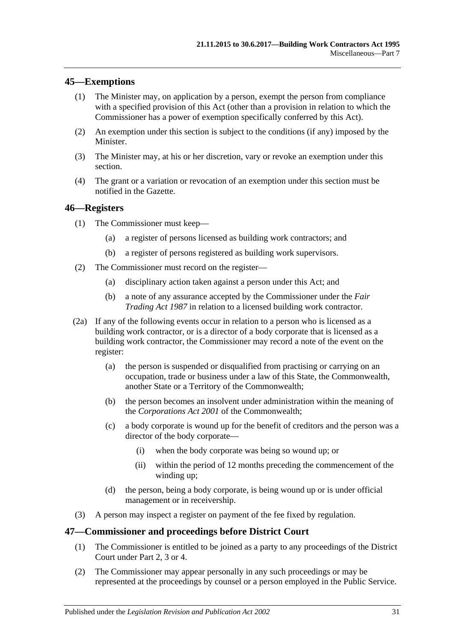# <span id="page-30-0"></span>**45—Exemptions**

- (1) The Minister may, on application by a person, exempt the person from compliance with a specified provision of this Act (other than a provision in relation to which the Commissioner has a power of exemption specifically conferred by this Act).
- (2) An exemption under this section is subject to the conditions (if any) imposed by the **Minister**
- (3) The Minister may, at his or her discretion, vary or revoke an exemption under this section.
- (4) The grant or a variation or revocation of an exemption under this section must be notified in the Gazette.

## <span id="page-30-1"></span>**46—Registers**

- (1) The Commissioner must keep—
	- (a) a register of persons licensed as building work contractors; and
	- (b) a register of persons registered as building work supervisors.
- (2) The Commissioner must record on the register—
	- (a) disciplinary action taken against a person under this Act; and
	- (b) a note of any assurance accepted by the Commissioner under the *[Fair](http://www.legislation.sa.gov.au/index.aspx?action=legref&type=act&legtitle=Fair%20Trading%20Act%201987)  [Trading Act](http://www.legislation.sa.gov.au/index.aspx?action=legref&type=act&legtitle=Fair%20Trading%20Act%201987) 1987* in relation to a licensed building work contractor.
- (2a) If any of the following events occur in relation to a person who is licensed as a building work contractor, or is a director of a body corporate that is licensed as a building work contractor, the Commissioner may record a note of the event on the register:
	- (a) the person is suspended or disqualified from practising or carrying on an occupation, trade or business under a law of this State, the Commonwealth, another State or a Territory of the Commonwealth;
	- (b) the person becomes an insolvent under administration within the meaning of the *Corporations Act 2001* of the Commonwealth;
	- (c) a body corporate is wound up for the benefit of creditors and the person was a director of the body corporate—
		- (i) when the body corporate was being so wound up; or
		- (ii) within the period of 12 months preceding the commencement of the winding up;
	- (d) the person, being a body corporate, is being wound up or is under official management or in receivership.
- (3) A person may inspect a register on payment of the fee fixed by regulation.

## <span id="page-30-2"></span>**47—Commissioner and proceedings before District Court**

- (1) The Commissioner is entitled to be joined as a party to any proceedings of the District Court under [Part 2,](#page-4-2) [3](#page-9-1) or [4.](#page-16-0)
- (2) The Commissioner may appear personally in any such proceedings or may be represented at the proceedings by counsel or a person employed in the Public Service.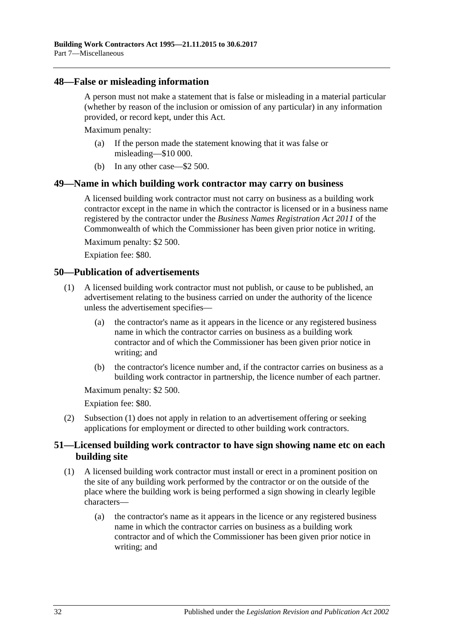### <span id="page-31-0"></span>**48—False or misleading information**

A person must not make a statement that is false or misleading in a material particular (whether by reason of the inclusion or omission of any particular) in any information provided, or record kept, under this Act.

Maximum penalty:

- (a) If the person made the statement knowing that it was false or misleading—\$10 000.
- (b) In any other case—\$2 500.

### <span id="page-31-1"></span>**49—Name in which building work contractor may carry on business**

A licensed building work contractor must not carry on business as a building work contractor except in the name in which the contractor is licensed or in a business name registered by the contractor under the *Business Names Registration Act 2011* of the Commonwealth of which the Commissioner has been given prior notice in writing.

Maximum penalty: \$2 500.

Expiation fee: \$80.

## <span id="page-31-4"></span><span id="page-31-2"></span>**50—Publication of advertisements**

- (1) A licensed building work contractor must not publish, or cause to be published, an advertisement relating to the business carried on under the authority of the licence unless the advertisement specifies—
	- (a) the contractor's name as it appears in the licence or any registered business name in which the contractor carries on business as a building work contractor and of which the Commissioner has been given prior notice in writing; and
	- (b) the contractor's licence number and, if the contractor carries on business as a building work contractor in partnership, the licence number of each partner.

Maximum penalty: \$2 500.

Expiation fee: \$80.

(2) [Subsection](#page-31-4) (1) does not apply in relation to an advertisement offering or seeking applications for employment or directed to other building work contractors.

# <span id="page-31-3"></span>**51—Licensed building work contractor to have sign showing name etc on each building site**

- <span id="page-31-5"></span>(1) A licensed building work contractor must install or erect in a prominent position on the site of any building work performed by the contractor or on the outside of the place where the building work is being performed a sign showing in clearly legible characters—
	- (a) the contractor's name as it appears in the licence or any registered business name in which the contractor carries on business as a building work contractor and of which the Commissioner has been given prior notice in writing; and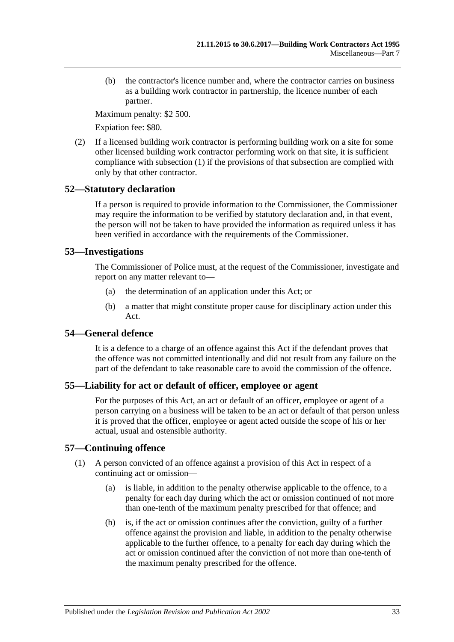(b) the contractor's licence number and, where the contractor carries on business as a building work contractor in partnership, the licence number of each partner.

Maximum penalty: \$2 500.

Expiation fee: \$80.

(2) If a licensed building work contractor is performing building work on a site for some other licensed building work contractor performing work on that site, it is sufficient compliance with [subsection](#page-31-5) (1) if the provisions of that subsection are complied with only by that other contractor.

# <span id="page-32-0"></span>**52—Statutory declaration**

If a person is required to provide information to the Commissioner, the Commissioner may require the information to be verified by statutory declaration and, in that event, the person will not be taken to have provided the information as required unless it has been verified in accordance with the requirements of the Commissioner.

# <span id="page-32-1"></span>**53—Investigations**

The Commissioner of Police must, at the request of the Commissioner, investigate and report on any matter relevant to—

- (a) the determination of an application under this Act; or
- (b) a matter that might constitute proper cause for disciplinary action under this Act.

# <span id="page-32-2"></span>**54—General defence**

It is a defence to a charge of an offence against this Act if the defendant proves that the offence was not committed intentionally and did not result from any failure on the part of the defendant to take reasonable care to avoid the commission of the offence.

# <span id="page-32-3"></span>**55—Liability for act or default of officer, employee or agent**

For the purposes of this Act, an act or default of an officer, employee or agent of a person carrying on a business will be taken to be an act or default of that person unless it is proved that the officer, employee or agent acted outside the scope of his or her actual, usual and ostensible authority.

# <span id="page-32-4"></span>**57—Continuing offence**

- (1) A person convicted of an offence against a provision of this Act in respect of a continuing act or omission—
	- (a) is liable, in addition to the penalty otherwise applicable to the offence, to a penalty for each day during which the act or omission continued of not more than one-tenth of the maximum penalty prescribed for that offence; and
	- (b) is, if the act or omission continues after the conviction, guilty of a further offence against the provision and liable, in addition to the penalty otherwise applicable to the further offence, to a penalty for each day during which the act or omission continued after the conviction of not more than one-tenth of the maximum penalty prescribed for the offence.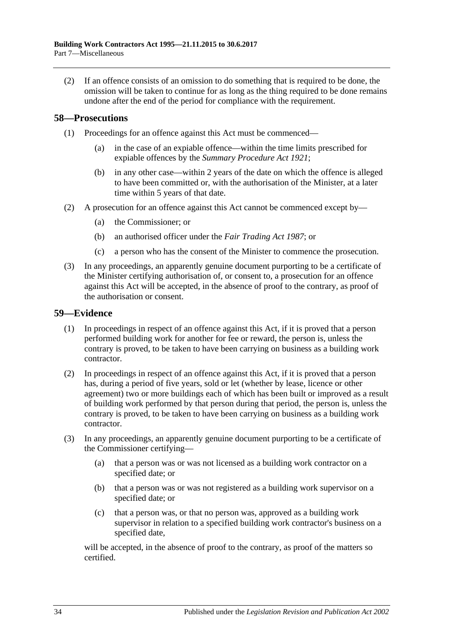(2) If an offence consists of an omission to do something that is required to be done, the omission will be taken to continue for as long as the thing required to be done remains undone after the end of the period for compliance with the requirement.

# <span id="page-33-0"></span>**58—Prosecutions**

- (1) Proceedings for an offence against this Act must be commenced—
	- (a) in the case of an expiable offence—within the time limits prescribed for expiable offences by the *[Summary Procedure Act](http://www.legislation.sa.gov.au/index.aspx?action=legref&type=act&legtitle=Summary%20Procedure%20Act%201921) 1921*;
	- (b) in any other case—within 2 years of the date on which the offence is alleged to have been committed or, with the authorisation of the Minister, at a later time within 5 years of that date.
- (2) A prosecution for an offence against this Act cannot be commenced except by—
	- (a) the Commissioner; or
	- (b) an authorised officer under the *[Fair Trading Act](http://www.legislation.sa.gov.au/index.aspx?action=legref&type=act&legtitle=Fair%20Trading%20Act%201987) 1987*; or
	- (c) a person who has the consent of the Minister to commence the prosecution.
- (3) In any proceedings, an apparently genuine document purporting to be a certificate of the Minister certifying authorisation of, or consent to, a prosecution for an offence against this Act will be accepted, in the absence of proof to the contrary, as proof of the authorisation or consent.

## <span id="page-33-1"></span>**59—Evidence**

- (1) In proceedings in respect of an offence against this Act, if it is proved that a person performed building work for another for fee or reward, the person is, unless the contrary is proved, to be taken to have been carrying on business as a building work contractor.
- (2) In proceedings in respect of an offence against this Act, if it is proved that a person has, during a period of five years, sold or let (whether by lease, licence or other agreement) two or more buildings each of which has been built or improved as a result of building work performed by that person during that period, the person is, unless the contrary is proved, to be taken to have been carrying on business as a building work contractor.
- (3) In any proceedings, an apparently genuine document purporting to be a certificate of the Commissioner certifying—
	- (a) that a person was or was not licensed as a building work contractor on a specified date; or
	- (b) that a person was or was not registered as a building work supervisor on a specified date; or
	- (c) that a person was, or that no person was, approved as a building work supervisor in relation to a specified building work contractor's business on a specified date,

will be accepted, in the absence of proof to the contrary, as proof of the matters so certified.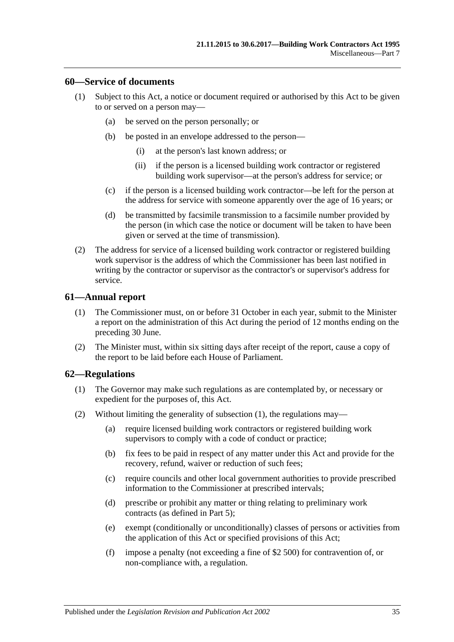## <span id="page-34-0"></span>**60—Service of documents**

- (1) Subject to this Act, a notice or document required or authorised by this Act to be given to or served on a person may—
	- (a) be served on the person personally; or
	- (b) be posted in an envelope addressed to the person—
		- (i) at the person's last known address; or
		- (ii) if the person is a licensed building work contractor or registered building work supervisor—at the person's address for service; or
	- (c) if the person is a licensed building work contractor—be left for the person at the address for service with someone apparently over the age of 16 years; or
	- (d) be transmitted by facsimile transmission to a facsimile number provided by the person (in which case the notice or document will be taken to have been given or served at the time of transmission).
- (2) The address for service of a licensed building work contractor or registered building work supervisor is the address of which the Commissioner has been last notified in writing by the contractor or supervisor as the contractor's or supervisor's address for service.

## <span id="page-34-1"></span>**61—Annual report**

- (1) The Commissioner must, on or before 31 October in each year, submit to the Minister a report on the administration of this Act during the period of 12 months ending on the preceding 30 June.
- (2) The Minister must, within six sitting days after receipt of the report, cause a copy of the report to be laid before each House of Parliament.

### <span id="page-34-3"></span><span id="page-34-2"></span>**62—Regulations**

- (1) The Governor may make such regulations as are contemplated by, or necessary or expedient for the purposes of, this Act.
- (2) Without limiting the generality of [subsection](#page-34-3) (1), the regulations may—
	- (a) require licensed building work contractors or registered building work supervisors to comply with a code of conduct or practice;
	- (b) fix fees to be paid in respect of any matter under this Act and provide for the recovery, refund, waiver or reduction of such fees;
	- (c) require councils and other local government authorities to provide prescribed information to the Commissioner at prescribed intervals;
	- (d) prescribe or prohibit any matter or thing relating to preliminary work contracts (as defined in [Part 5\)](#page-19-1);
	- (e) exempt (conditionally or unconditionally) classes of persons or activities from the application of this Act or specified provisions of this Act;
	- (f) impose a penalty (not exceeding a fine of \$2 500) for contravention of, or non-compliance with, a regulation.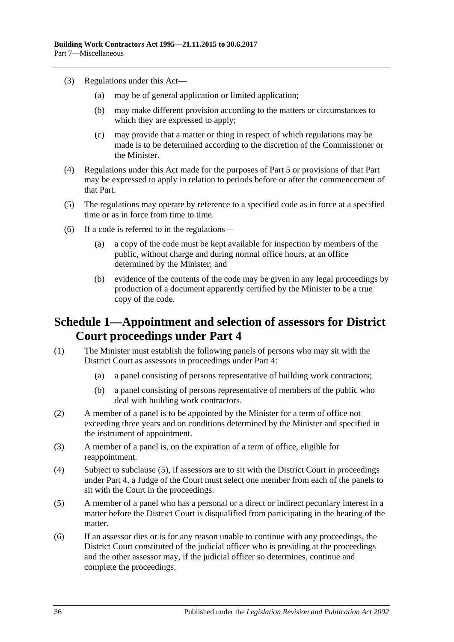- (3) Regulations under this Act—
	- (a) may be of general application or limited application;
	- (b) may make different provision according to the matters or circumstances to which they are expressed to apply;
	- (c) may provide that a matter or thing in respect of which regulations may be made is to be determined according to the discretion of the Commissioner or the Minister.
- (4) Regulations under this Act made for the purposes of [Part 5](#page-19-1) or provisions of that Part may be expressed to apply in relation to periods before or after the commencement of that Part.
- (5) The regulations may operate by reference to a specified code as in force at a specified time or as in force from time to time.
- (6) If a code is referred to in the regulations—
	- (a) a copy of the code must be kept available for inspection by members of the public, without charge and during normal office hours, at an office determined by the Minister; and
	- (b) evidence of the contents of the code may be given in any legal proceedings by production of a document apparently certified by the Minister to be a true copy of the code.

# <span id="page-35-0"></span>**Schedule 1—Appointment and selection of assessors for District Court proceedings under [Part](#page-16-0) 4**

- (1) The Minister must establish the following panels of persons who may sit with the District Court as assessors in proceedings under [Part 4:](#page-16-0)
	- (a) a panel consisting of persons representative of building work contractors;
	- (b) a panel consisting of persons representative of members of the public who deal with building work contractors.
- (2) A member of a panel is to be appointed by the Minister for a term of office not exceeding three years and on conditions determined by the Minister and specified in the instrument of appointment.
- (3) A member of a panel is, on the expiration of a term of office, eligible for reappointment.
- (4) Subject to [subclause](#page-35-1) (5), if assessors are to sit with the District Court in proceedings under [Part 4,](#page-16-0) a Judge of the Court must select one member from each of the panels to sit with the Court in the proceedings.
- <span id="page-35-1"></span>(5) A member of a panel who has a personal or a direct or indirect pecuniary interest in a matter before the District Court is disqualified from participating in the hearing of the matter.
- (6) If an assessor dies or is for any reason unable to continue with any proceedings, the District Court constituted of the judicial officer who is presiding at the proceedings and the other assessor may, if the judicial officer so determines, continue and complete the proceedings.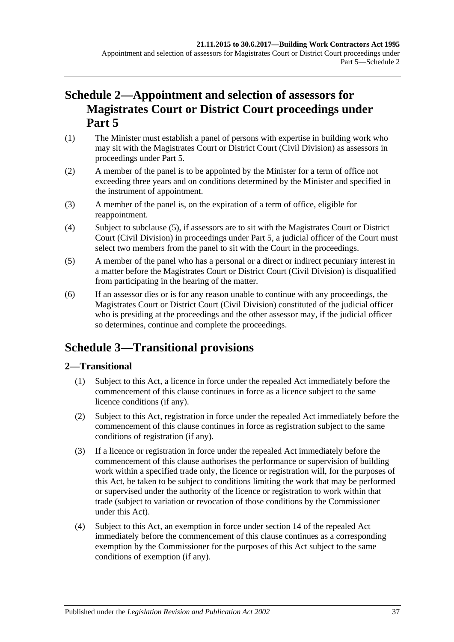# <span id="page-36-0"></span>**Schedule 2—Appointment and selection of assessors for Magistrates Court or District Court proceedings under [Part](#page-19-1) 5**

- (1) The Minister must establish a panel of persons with expertise in building work who may sit with the Magistrates Court or District Court (Civil Division) as assessors in proceedings under [Part 5.](#page-19-1)
- (2) A member of the panel is to be appointed by the Minister for a term of office not exceeding three years and on conditions determined by the Minister and specified in the instrument of appointment.
- (3) A member of the panel is, on the expiration of a term of office, eligible for reappointment.
- (4) Subject to [subclause](#page-36-3) (5), if assessors are to sit with the Magistrates Court or District Court (Civil Division) in proceedings under [Part 5,](#page-19-1) a judicial officer of the Court must select two members from the panel to sit with the Court in the proceedings.
- <span id="page-36-3"></span>(5) A member of the panel who has a personal or a direct or indirect pecuniary interest in a matter before the Magistrates Court or District Court (Civil Division) is disqualified from participating in the hearing of the matter.
- (6) If an assessor dies or is for any reason unable to continue with any proceedings, the Magistrates Court or District Court (Civil Division) constituted of the judicial officer who is presiding at the proceedings and the other assessor may, if the judicial officer so determines, continue and complete the proceedings.

# <span id="page-36-1"></span>**Schedule 3—Transitional provisions**

# <span id="page-36-2"></span>**2—Transitional**

- (1) Subject to this Act, a licence in force under the repealed Act immediately before the commencement of this clause continues in force as a licence subject to the same licence conditions (if any).
- (2) Subject to this Act, registration in force under the repealed Act immediately before the commencement of this clause continues in force as registration subject to the same conditions of registration (if any).
- (3) If a licence or registration in force under the repealed Act immediately before the commencement of this clause authorises the performance or supervision of building work within a specified trade only, the licence or registration will, for the purposes of this Act, be taken to be subject to conditions limiting the work that may be performed or supervised under the authority of the licence or registration to work within that trade (subject to variation or revocation of those conditions by the Commissioner under this Act).
- (4) Subject to this Act, an exemption in force under section 14 of the repealed Act immediately before the commencement of this clause continues as a corresponding exemption by the Commissioner for the purposes of this Act subject to the same conditions of exemption (if any).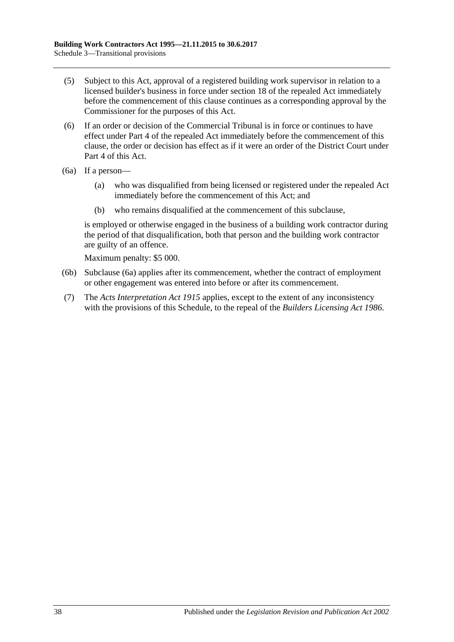- (5) Subject to this Act, approval of a registered building work supervisor in relation to a licensed builder's business in force under section 18 of the repealed Act immediately before the commencement of this clause continues as a corresponding approval by the Commissioner for the purposes of this Act.
- (6) If an order or decision of the Commercial Tribunal is in force or continues to have effect under Part 4 of the repealed Act immediately before the commencement of this clause, the order or decision has effect as if it were an order of the District Court under [Part 4](#page-16-0) of this Act.
- <span id="page-37-0"></span>(6a) If a person—
	- (a) who was disqualified from being licensed or registered under the repealed Act immediately before the commencement of this Act; and
	- (b) who remains disqualified at the commencement of this subclause,

is employed or otherwise engaged in the business of a building work contractor during the period of that disqualification, both that person and the building work contractor are guilty of an offence.

Maximum penalty: \$5 000.

- (6b) [Subclause](#page-37-0) (6a) applies after its commencement, whether the contract of employment or other engagement was entered into before or after its commencement.
- (7) The *[Acts Interpretation Act](http://www.legislation.sa.gov.au/index.aspx?action=legref&type=act&legtitle=Acts%20Interpretation%20Act%201915) 1915* applies, except to the extent of any inconsistency with the provisions of this Schedule, to the repeal of the *[Builders Licensing Act](http://www.legislation.sa.gov.au/index.aspx?action=legref&type=act&legtitle=Builders%20Licensing%20Act%201986) 1986*.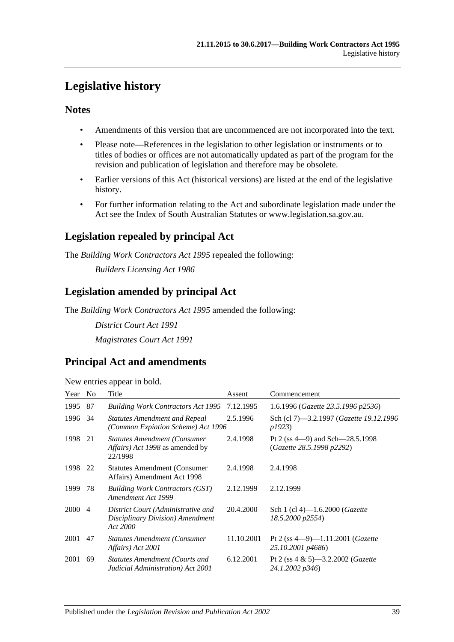# <span id="page-38-0"></span>**Legislative history**

# **Notes**

- Amendments of this version that are uncommenced are not incorporated into the text.
- Please note—References in the legislation to other legislation or instruments or to titles of bodies or offices are not automatically updated as part of the program for the revision and publication of legislation and therefore may be obsolete.
- Earlier versions of this Act (historical versions) are listed at the end of the legislative history.
- For further information relating to the Act and subordinate legislation made under the Act see the Index of South Australian Statutes or www.legislation.sa.gov.au.

# **Legislation repealed by principal Act**

The *Building Work Contractors Act 1995* repealed the following:

*Builders Licensing Act 1986*

# **Legislation amended by principal Act**

The *Building Work Contractors Act 1995* amended the following:

*District Court Act 1991 Magistrates Court Act 1991*

# **Principal Act and amendments**

| New entries appear in bold. |
|-----------------------------|
|-----------------------------|

| Year | N <sub>0</sub> | Title                                                                              | Assent     | Commencement                                                       |
|------|----------------|------------------------------------------------------------------------------------|------------|--------------------------------------------------------------------|
| 1995 | 87             | <b>Building Work Contractors Act 1995</b>                                          | 7.12.1995  | 1.6.1996 (Gazette 23.5.1996 p2536)                                 |
| 1996 | -34            | <b>Statutes Amendment and Repeal</b><br>(Common Expiation Scheme) Act 1996         | 2.5.1996   | Sch (cl 7)—3.2.1997 ( <i>Gazette 19.12.1996</i><br>p1923)          |
| 1998 | 21             | <b>Statutes Amendment (Consumer</b><br>Affairs) Act 1998 as amended by<br>22/1998  | 2.4.1998   | Pt 2 (ss $4-9$ ) and Sch $-28.5.1998$<br>(Gazette 28.5.1998 p2292) |
| 1998 | 22             | <b>Statutes Amendment (Consumer</b> )<br>Affairs) Amendment Act 1998               | 2.4.1998   | 2.4.1998                                                           |
| 1999 | 78             | <b>Building Work Contractors (GST)</b><br>Amendment Act 1999                       | 2.12.1999  | 2.12.1999                                                          |
| 2000 | $\overline{4}$ | District Court (Administrative and<br>Disciplinary Division) Amendment<br>Act 2000 | 20.4.2000  | Sch 1 (cl 4)—1.6.2000 ( <i>Gazette</i><br>18.5.2000 p2554)         |
| 2001 | 47             | <b>Statutes Amendment (Consumer)</b><br>Affairs) Act 2001                          | 11.10.2001 | Pt 2 (ss $4-9$ )-1.11.2001 ( <i>Gazette</i><br>25.10.2001 p4686)   |
| 2001 | 69             | <b>Statutes Amendment (Courts and</b><br>Judicial Administration) Act 2001         | 6.12.2001  | Pt 2 (ss $4 \& 5$ )—3.2.2002 ( <i>Gazette</i><br>24.1.2002 p346)   |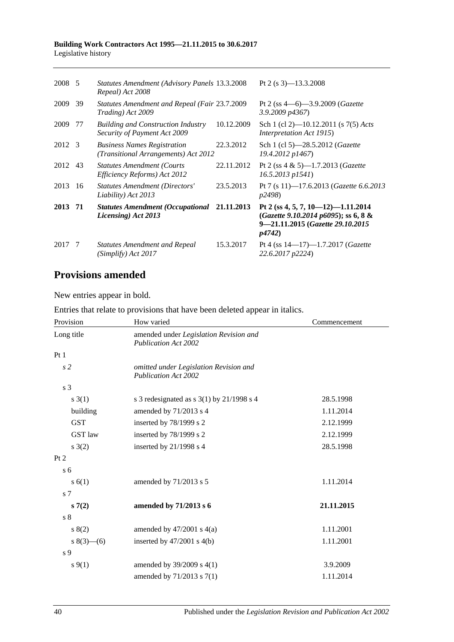| 2008 5  |     | <b>Statutes Amendment (Advisory Panels 13.3.2008)</b><br>Repeal) Act 2008  |            | Pt 2 (s $3$ )-13.3.2008                                                                                                          |
|---------|-----|----------------------------------------------------------------------------|------------|----------------------------------------------------------------------------------------------------------------------------------|
| 2009    | 39  | <b>Statutes Amendment and Repeal (Fair 23.7.2009)</b><br>Trading) Act 2009 |            | Pt 2 (ss $4-6$ )-3.9.2009 (Gazette<br>3.9.2009 p4367)                                                                            |
| 2009    | -77 | <b>Building and Construction Industry</b><br>Security of Payment Act 2009  | 10.12.2009 | Sch 1 (cl 2)—10.12.2011 (s $7(5)$ Acts<br><i>Interpretation Act 1915</i> )                                                       |
| 2012 3  |     | <b>Business Names Registration</b><br>(Transitional Arrangements) Act 2012 | 22.3.2012  | Sch 1 (cl 5)-28.5.2012 (Gazette<br>19.4.2012 p1467)                                                                              |
| 2012 43 |     | <b>Statutes Amendment (Courts</b><br>Efficiency Reforms) Act 2012          | 22.11.2012 | Pt 2 (ss $4 \& 5$ )—1.7.2013 ( <i>Gazette</i><br>16.5.2013 p1541)                                                                |
| 2013    | 16  | <b>Statutes Amendment (Directors'</b><br>Liability) Act 2013               | 23.5.2013  | Pt 7 (s 11)-17.6.2013 ( <i>Gazette</i> 6.6.2013<br><i>p</i> 2498)                                                                |
| 2013 71 |     | <b>Statutes Amendment (Occupational</b><br>Licensing) Act 2013             | 21.11.2013 | Pt 2 (ss 4, 5, 7, 10–12)–1.11.2014<br>(Gazette 9.10.2014 p6095); ss 6, 8 &<br>9-21.11.2015 (Gazette 29.10.2015<br><i>p4742</i> ) |
| 2017    | -7  | <b>Statutes Amendment and Repeal</b><br>(Simplify) Act 2017                | 15.3.2017  | Pt 4 (ss $14-17$ )-1.7.2017 (Gazette<br>22.6.2017 p2224)                                                                         |

# **Provisions amended**

New entries appear in bold.

| Entries that relate to provisions that have been deleted appear in italics. |  |  |  |
|-----------------------------------------------------------------------------|--|--|--|
|-----------------------------------------------------------------------------|--|--|--|

| Provision        | How varied                                                            | Commencement |
|------------------|-----------------------------------------------------------------------|--------------|
| Long title       | amended under Legislation Revision and<br><b>Publication Act 2002</b> |              |
| Pt1              |                                                                       |              |
| s <sub>2</sub>   | omitted under Legislation Revision and<br><b>Publication Act 2002</b> |              |
| s <sub>3</sub>   |                                                                       |              |
| s(3(1))          | s 3 redesignated as s $3(1)$ by $21/1998$ s 4                         | 28.5.1998    |
| building         | amended by 71/2013 s 4                                                | 1.11.2014    |
| <b>GST</b>       | inserted by 78/1999 s 2                                               | 2.12.1999    |
| GST law          | inserted by 78/1999 s 2                                               | 2.12.1999    |
| $s \; 3(2)$      | inserted by 21/1998 s 4                                               | 28.5.1998    |
| Pt 2             |                                                                       |              |
| $\overline{s}$ 6 |                                                                       |              |
| s(6(1))          | amended by 71/2013 s 5                                                | 1.11.2014    |
| s <sub>7</sub>   |                                                                       |              |
| s(7(2)           | amended by 71/2013 s 6                                                | 21.11.2015   |
| s <sub>8</sub>   |                                                                       |              |
| 8(2)             | amended by $47/2001$ s $4(a)$                                         | 1.11.2001    |
| $s(3)$ (6)       | inserted by $47/2001$ s $4(b)$                                        | 1.11.2001    |
| s 9              |                                                                       |              |
| $s \, 9(1)$      | amended by 39/2009 s 4(1)                                             | 3.9.2009     |
|                  | amended by 71/2013 s 7(1)                                             | 1.11.2014    |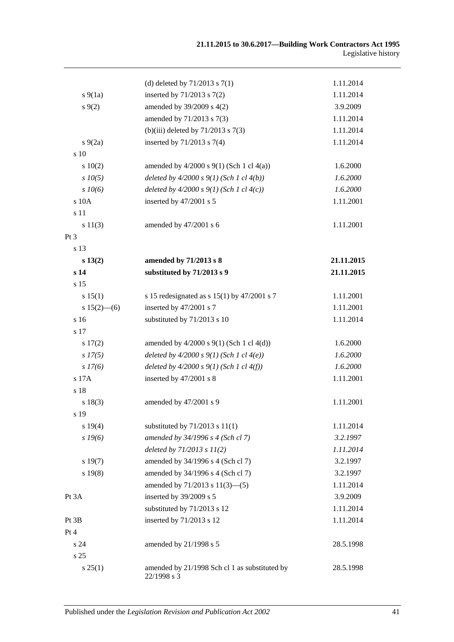|                 | (d) deleted by $71/2013$ s $7(1)$                            | 1.11.2014  |
|-----------------|--------------------------------------------------------------|------------|
| $s\ 9(1a)$      | inserted by 71/2013 s 7(2)                                   | 1.11.2014  |
| $s \, 9(2)$     | amended by 39/2009 s 4(2)                                    | 3.9.2009   |
|                 | amended by 71/2013 s 7(3)                                    | 1.11.2014  |
|                 | (b)(iii) deleted by $71/2013$ s $7(3)$                       | 1.11.2014  |
| $s\,9(2a)$      | inserted by $71/2013$ s $7(4)$                               | 1.11.2014  |
| s 10            |                                                              |            |
| 10(2)           | amended by $4/2000$ s $9(1)$ (Sch 1 cl $4(a)$ )              | 1.6.2000   |
| $s$ $10(5)$     | deleted by $4/2000 s 9(1)$ (Sch 1 cl $4(b)$ )                | 1.6.2000   |
| $s$ 10(6)       | deleted by $4/2000 s 9(1)$ (Sch 1 cl $4(c)$ )                | 1.6.2000   |
| s 10A           | inserted by 47/2001 s 5                                      | 1.11.2001  |
| s 11            |                                                              |            |
| s 11(3)         | amended by 47/2001 s 6                                       | 1.11.2001  |
| Pt <sub>3</sub> |                                                              |            |
| s 13            |                                                              |            |
| s 13(2)         | amended by 71/2013 s 8                                       | 21.11.2015 |
| s <sub>14</sub> | substituted by 71/2013 s 9                                   | 21.11.2015 |
| s 15            |                                                              |            |
| s 15(1)         | s 15 redesignated as s $15(1)$ by $47/2001$ s 7              | 1.11.2001  |
| $s 15(2)$ – (6) | inserted by 47/2001 s 7                                      | 1.11.2001  |
| s 16            | substituted by 71/2013 s 10                                  | 1.11.2014  |
| s 17            |                                                              |            |
| s 17(2)         | amended by $4/2000$ s $9(1)$ (Sch 1 cl $4(d)$ )              | 1.6.2000   |
| $s\,I7(5)$      | deleted by $4/2000 s 9(1)$ (Sch 1 cl $4(e)$ )                | 1.6.2000   |
| $s\,I7(6)$      | deleted by $4/2000 s 9(1)$ (Sch 1 cl $4(f)$ )                | 1.6.2000   |
| s 17A           | inserted by 47/2001 s 8                                      | 1.11.2001  |
| s 18            |                                                              |            |
| s 18(3)         | amended by 47/2001 s 9                                       | 1.11.2001  |
| s 19            |                                                              |            |
| s 19(4)         | substituted by $71/2013$ s $11(1)$                           | 1.11.2014  |
| $s$ 19(6)       | amended by 34/1996 s 4 (Sch cl 7)                            | 3.2.1997   |
|                 | deleted by $71/2013$ s $11(2)$                               | 1.11.2014  |
| s 19(7)         | amended by 34/1996 s 4 (Sch cl 7)                            | 3.2.1997   |
| s 19(8)         | amended by 34/1996 s 4 (Sch cl 7)                            | 3.2.1997   |
|                 | amended by $71/2013$ s $11(3)$ —(5)                          | 1.11.2014  |
| Pt 3A           | inserted by 39/2009 s 5                                      | 3.9.2009   |
|                 | substituted by 71/2013 s 12                                  | 1.11.2014  |
| Pt 3B           | inserted by 71/2013 s 12                                     | 1.11.2014  |
| Pt 4            |                                                              |            |
| s 24            | amended by 21/1998 s 5                                       | 28.5.1998  |
| s <sub>25</sub> |                                                              |            |
| s 25(1)         | amended by 21/1998 Sch cl 1 as substituted by<br>22/1998 s 3 | 28.5.1998  |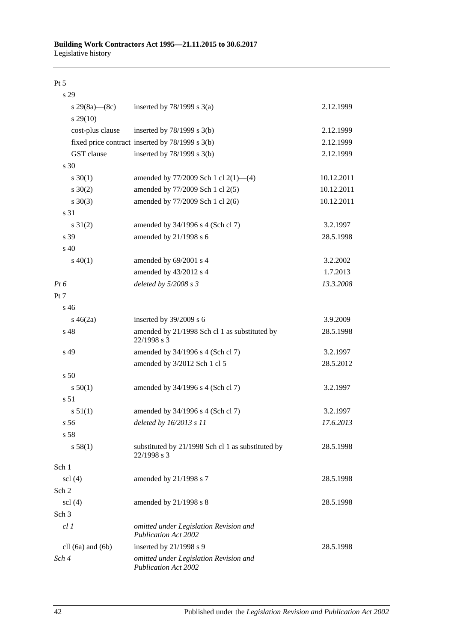#### Pt 5

| s 29                          |                                                                       |            |
|-------------------------------|-----------------------------------------------------------------------|------------|
| s 29(8a)—(8c)                 | inserted by $78/1999$ s $3(a)$                                        | 2.12.1999  |
| $s\,29(10)$                   |                                                                       |            |
| cost-plus clause              | inserted by $78/1999$ s $3(b)$                                        | 2.12.1999  |
|                               | fixed price contract inserted by 78/1999 s 3(b)                       | 2.12.1999  |
| GST clause                    | inserted by $78/1999$ s $3(b)$                                        | 2.12.1999  |
| s <sub>30</sub>               |                                                                       |            |
| $s \ 30(1)$                   | amended by $77/2009$ Sch 1 cl $2(1)$ —(4)                             | 10.12.2011 |
| $s \ 30(2)$                   | amended by 77/2009 Sch 1 cl 2(5)                                      | 10.12.2011 |
| $s \ 30(3)$                   | amended by 77/2009 Sch 1 cl 2(6)                                      | 10.12.2011 |
| s 31                          |                                                                       |            |
| $s \ 31(2)$                   | amended by 34/1996 s 4 (Sch cl 7)                                     | 3.2.1997   |
| s 39                          | amended by 21/1998 s 6                                                | 28.5.1998  |
| $s\,40$                       |                                                                       |            |
| $s\ 40(1)$                    | amended by 69/2001 s 4                                                | 3.2.2002   |
|                               | amended by 43/2012 s 4                                                | 1.7.2013   |
| Pt 6                          | deleted by $5/2008 s3$                                                | 13.3.2008  |
| Pt 7                          |                                                                       |            |
| s 46                          |                                                                       |            |
| $s\,46(2a)$                   | inserted by 39/2009 s 6                                               | 3.9.2009   |
| s 48                          | amended by 21/1998 Sch cl 1 as substituted by<br>22/1998 s 3          | 28.5.1998  |
| s 49                          | amended by 34/1996 s 4 (Sch cl 7)                                     | 3.2.1997   |
|                               | amended by 3/2012 Sch 1 cl 5                                          | 28.5.2012  |
| s <sub>50</sub>               |                                                                       |            |
| s 50(1)                       | amended by 34/1996 s 4 (Sch cl 7)                                     | 3.2.1997   |
| s 51                          |                                                                       |            |
| s 51(1)                       | amended by 34/1996 s 4 (Sch cl 7)                                     | 3.2.1997   |
| s <sub>56</sub>               | deleted by 16/2013 s 11                                               | 17.6.2013  |
| s 58                          |                                                                       |            |
| s 58(1)                       | substituted by 21/1998 Sch cl 1 as substituted by<br>22/1998 s 3      | 28.5.1998  |
| Sch 1                         |                                                                       |            |
| $\text{ }$ scl $\text{ }$ (4) | amended by 21/1998 s 7                                                | 28.5.1998  |
| Sch 2                         |                                                                       |            |
| $\text{sc}$ (4)               | amended by $21/1998$ s 8                                              | 28.5.1998  |
| Sch 3                         |                                                                       |            |
| cl1                           | omitted under Legislation Revision and<br><b>Publication Act 2002</b> |            |
| cll $(6a)$ and $(6b)$         | inserted by $21/1998$ s 9                                             | 28.5.1998  |
| Sch 4                         | omitted under Legislation Revision and<br><b>Publication Act 2002</b> |            |